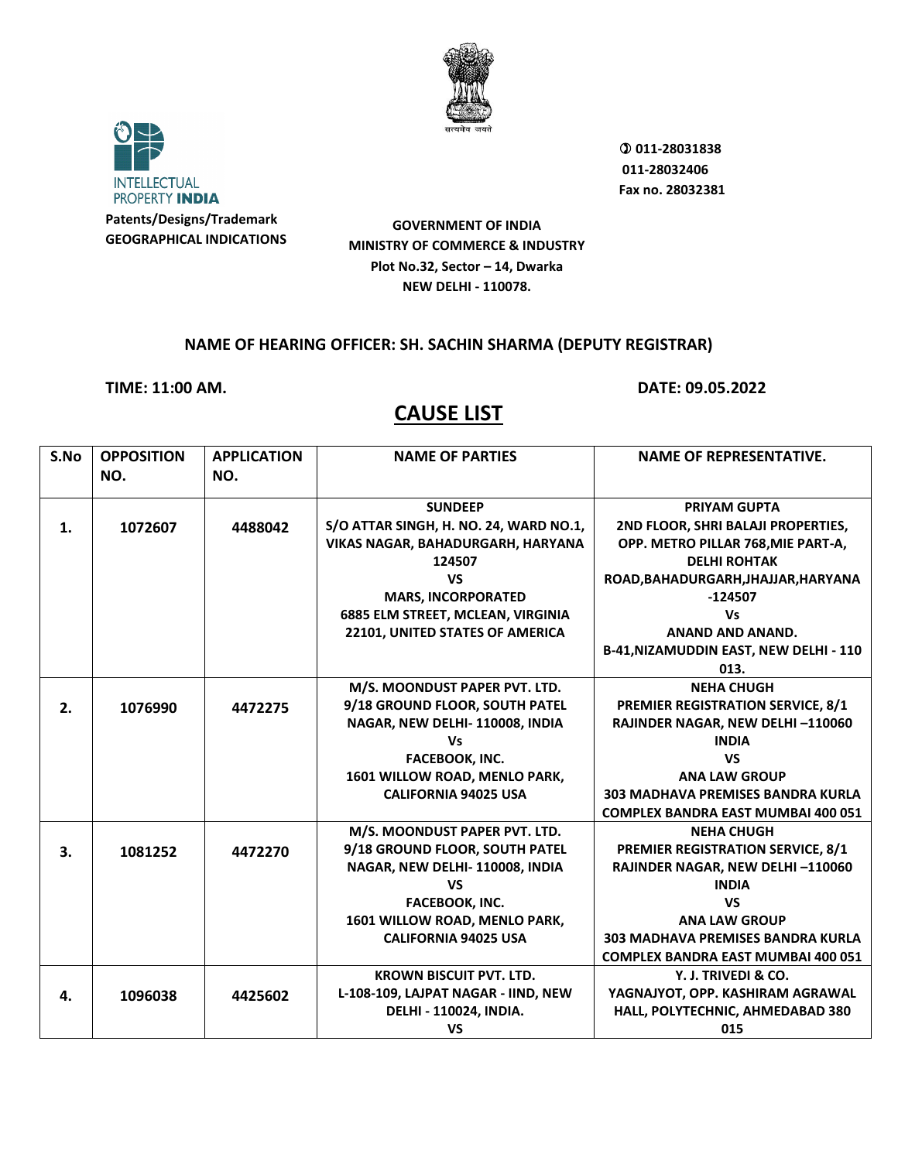



 **011-28031838 011-28032406 Fax no. 28032381**

**GOVERNMENT OF INDIA MINISTRY OF COMMERCE & INDUSTRY Plot No.32, Sector – 14, Dwarka NEW DELHI - 110078.**

#### **NAME OF HEARING OFFICER: SH. SACHIN SHARMA (DEPUTY REGISTRAR)**

**TIME: 11:00 AM. DATE: 09.05.2022**

| S.No | <b>OPPOSITION</b> | <b>APPLICATION</b> | <b>NAME OF PARTIES</b>                 | <b>NAME OF REPRESENTATIVE.</b>            |
|------|-------------------|--------------------|----------------------------------------|-------------------------------------------|
|      | NO.               | NO.                |                                        |                                           |
|      |                   |                    |                                        |                                           |
|      |                   |                    | <b>SUNDEEP</b>                         | <b>PRIYAM GUPTA</b>                       |
| 1.   | 1072607           | 4488042            | S/O ATTAR SINGH, H. NO. 24, WARD NO.1, | 2ND FLOOR, SHRI BALAJI PROPERTIES,        |
|      |                   |                    | VIKAS NAGAR, BAHADURGARH, HARYANA      | OPP. METRO PILLAR 768, MIE PART-A,        |
|      |                   |                    | 124507                                 | <b>DELHI ROHTAK</b>                       |
|      |                   |                    | <b>VS</b>                              | ROAD, BAHADURGARH, JHAJJAR, HARYANA       |
|      |                   |                    | <b>MARS, INCORPORATED</b>              | $-124507$                                 |
|      |                   |                    | 6885 ELM STREET, MCLEAN, VIRGINIA      | <b>Vs</b>                                 |
|      |                   |                    | 22101, UNITED STATES OF AMERICA        | <b>ANAND AND ANAND.</b>                   |
|      |                   |                    |                                        | B-41, NIZAMUDDIN EAST, NEW DELHI - 110    |
|      |                   |                    |                                        | 013.                                      |
|      |                   |                    | M/S. MOONDUST PAPER PVT. LTD.          | <b>NEHA CHUGH</b>                         |
| 2.   | 1076990           | 4472275            | 9/18 GROUND FLOOR, SOUTH PATEL         | <b>PREMIER REGISTRATION SERVICE, 8/1</b>  |
|      |                   |                    | NAGAR, NEW DELHI-110008, INDIA         | RAJINDER NAGAR, NEW DELHI-110060          |
|      |                   |                    | <b>Vs</b>                              | <b>INDIA</b>                              |
|      |                   |                    | FACEBOOK, INC.                         | <b>VS</b>                                 |
|      |                   |                    | 1601 WILLOW ROAD, MENLO PARK,          | <b>ANA LAW GROUP</b>                      |
|      |                   |                    | <b>CALIFORNIA 94025 USA</b>            | <b>303 MADHAVA PREMISES BANDRA KURLA</b>  |
|      |                   |                    |                                        | <b>COMPLEX BANDRA EAST MUMBAI 400 051</b> |
|      |                   |                    | M/S. MOONDUST PAPER PVT. LTD.          | <b>NEHA CHUGH</b>                         |
| 3.   | 1081252           | 4472270            | 9/18 GROUND FLOOR, SOUTH PATEL         | <b>PREMIER REGISTRATION SERVICE, 8/1</b>  |
|      |                   |                    | NAGAR, NEW DELHI-110008, INDIA         | RAJINDER NAGAR, NEW DELHI-110060          |
|      |                   |                    | <b>VS</b>                              | <b>INDIA</b>                              |
|      |                   |                    | FACEBOOK, INC.                         | <b>VS</b>                                 |
|      |                   |                    | 1601 WILLOW ROAD, MENLO PARK,          | <b>ANA LAW GROUP</b>                      |
|      |                   |                    | <b>CALIFORNIA 94025 USA</b>            | <b>303 MADHAVA PREMISES BANDRA KURLA</b>  |
|      |                   |                    |                                        | <b>COMPLEX BANDRA EAST MUMBAI 400 051</b> |
|      |                   |                    | <b>KROWN BISCUIT PVT. LTD.</b>         | Y. J. TRIVEDI & CO.                       |
| 4.   | 1096038           | 4425602            | L-108-109, LAJPAT NAGAR - IIND, NEW    | YAGNAJYOT, OPP. KASHIRAM AGRAWAL          |
|      |                   |                    | DELHI - 110024, INDIA.                 | HALL, POLYTECHNIC, AHMEDABAD 380          |
|      |                   |                    | <b>VS</b>                              | 015                                       |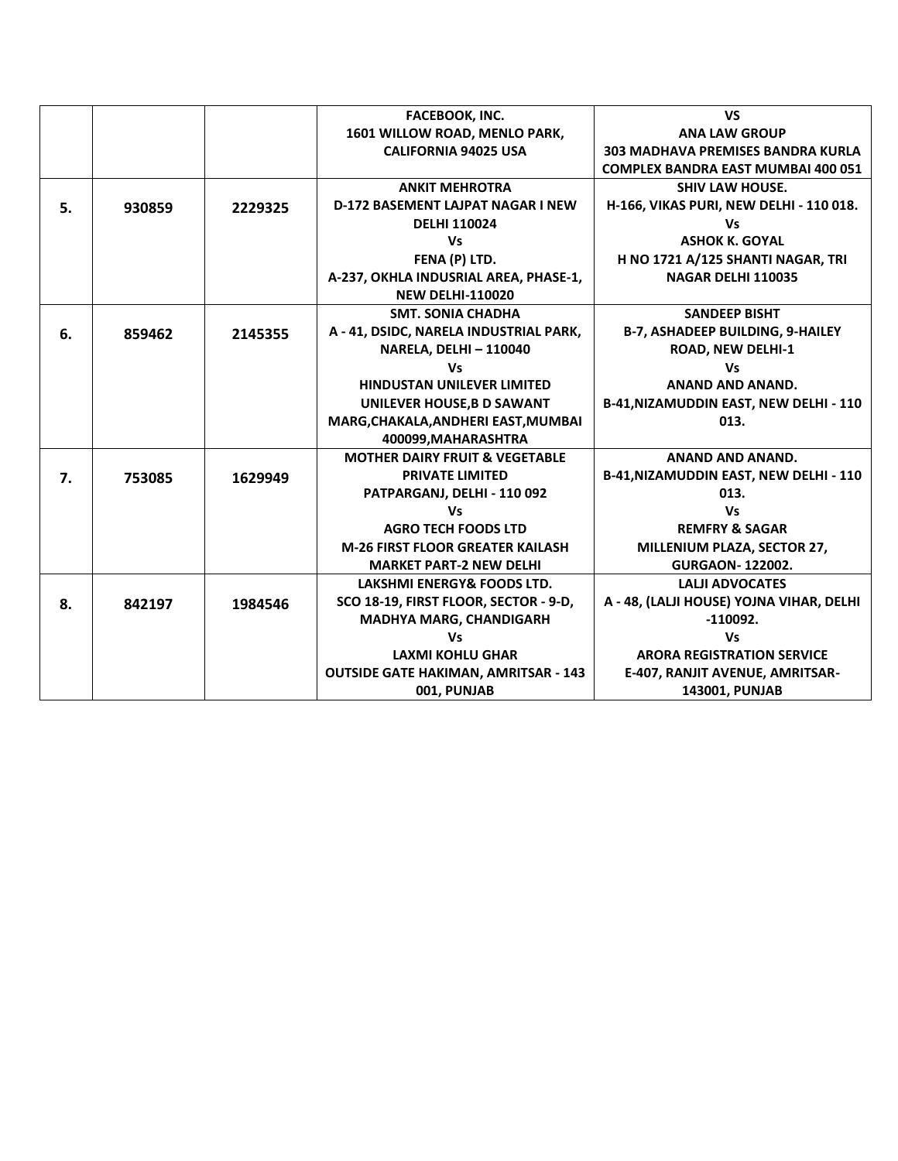|    |        |         | <b>FACEBOOK, INC.</b>                       | <b>VS</b>                                     |
|----|--------|---------|---------------------------------------------|-----------------------------------------------|
|    |        |         | 1601 WILLOW ROAD, MENLO PARK,               | <b>ANA LAW GROUP</b>                          |
|    |        |         | <b>CALIFORNIA 94025 USA</b>                 | <b>303 MADHAVA PREMISES BANDRA KURLA</b>      |
|    |        |         |                                             | <b>COMPLEX BANDRA EAST MUMBAI 400 051</b>     |
|    |        |         | <b>ANKIT MEHROTRA</b>                       | <b>SHIV LAW HOUSE.</b>                        |
| 5. | 930859 | 2229325 | <b>D-172 BASEMENT LAJPAT NAGAR I NEW</b>    | H-166, VIKAS PURI, NEW DELHI - 110 018.       |
|    |        |         | <b>DELHI 110024</b>                         | Vs                                            |
|    |        |         | Vs                                          | <b>ASHOK K. GOYAL</b>                         |
|    |        |         | FENA (P) LTD.                               | H NO 1721 A/125 SHANTI NAGAR, TRI             |
|    |        |         | A-237, OKHLA INDUSRIAL AREA, PHASE-1,       | NAGAR DELHI 110035                            |
|    |        |         | <b>NEW DELHI-110020</b>                     |                                               |
|    |        |         | <b>SMT. SONIA CHADHA</b>                    | <b>SANDEEP BISHT</b>                          |
| 6. | 859462 | 2145355 | A - 41, DSIDC, NARELA INDUSTRIAL PARK,      | <b>B-7, ASHADEEP BUILDING, 9-HAILEY</b>       |
|    |        |         | <b>NARELA, DELHI - 110040</b>               | <b>ROAD, NEW DELHI-1</b>                      |
|    |        |         | <b>Vs</b>                                   | Vs                                            |
|    |        |         | <b>HINDUSTAN UNILEVER LIMITED</b>           | <b>ANAND AND ANAND.</b>                       |
|    |        |         | UNILEVER HOUSE, B D SAWANT                  | <b>B-41, NIZAMUDDIN EAST, NEW DELHI - 110</b> |
|    |        |         | MARG, CHAKALA, ANDHERI EAST, MUMBAI         | 013.                                          |
|    |        |         | 400099, MAHARASHTRA                         |                                               |
|    |        |         | <b>MOTHER DAIRY FRUIT &amp; VEGETABLE</b>   | <b>ANAND AND ANAND.</b>                       |
| 7. | 753085 | 1629949 | <b>PRIVATE LIMITED</b>                      | B-41, NIZAMUDDIN EAST, NEW DELHI - 110        |
|    |        |         | PATPARGANJ, DELHI - 110 092                 | 013.                                          |
|    |        |         | <b>Vs</b>                                   | Vs                                            |
|    |        |         | <b>AGRO TECH FOODS LTD</b>                  | <b>REMFRY &amp; SAGAR</b>                     |
|    |        |         | <b>M-26 FIRST FLOOR GREATER KAILASH</b>     | MILLENIUM PLAZA, SECTOR 27,                   |
|    |        |         | <b>MARKET PART-2 NEW DELHI</b>              | <b>GURGAON-122002.</b>                        |
|    |        |         | LAKSHMI ENERGY& FOODS LTD.                  | <b>LALII ADVOCATES</b>                        |
| 8. | 842197 | 1984546 | SCO 18-19, FIRST FLOOR, SECTOR - 9-D,       | A - 48, (LALJI HOUSE) YOJNA VIHAR, DELHI      |
|    |        |         | <b>MADHYA MARG, CHANDIGARH</b>              | $-110092.$                                    |
|    |        |         | <b>Vs</b>                                   | Vs                                            |
|    |        |         | <b>LAXMI KOHLU GHAR</b>                     | <b>ARORA REGISTRATION SERVICE</b>             |
|    |        |         | <b>OUTSIDE GATE HAKIMAN, AMRITSAR - 143</b> | E-407, RANJIT AVENUE, AMRITSAR-               |
|    |        |         | 001, PUNJAB                                 | 143001, PUNJAB                                |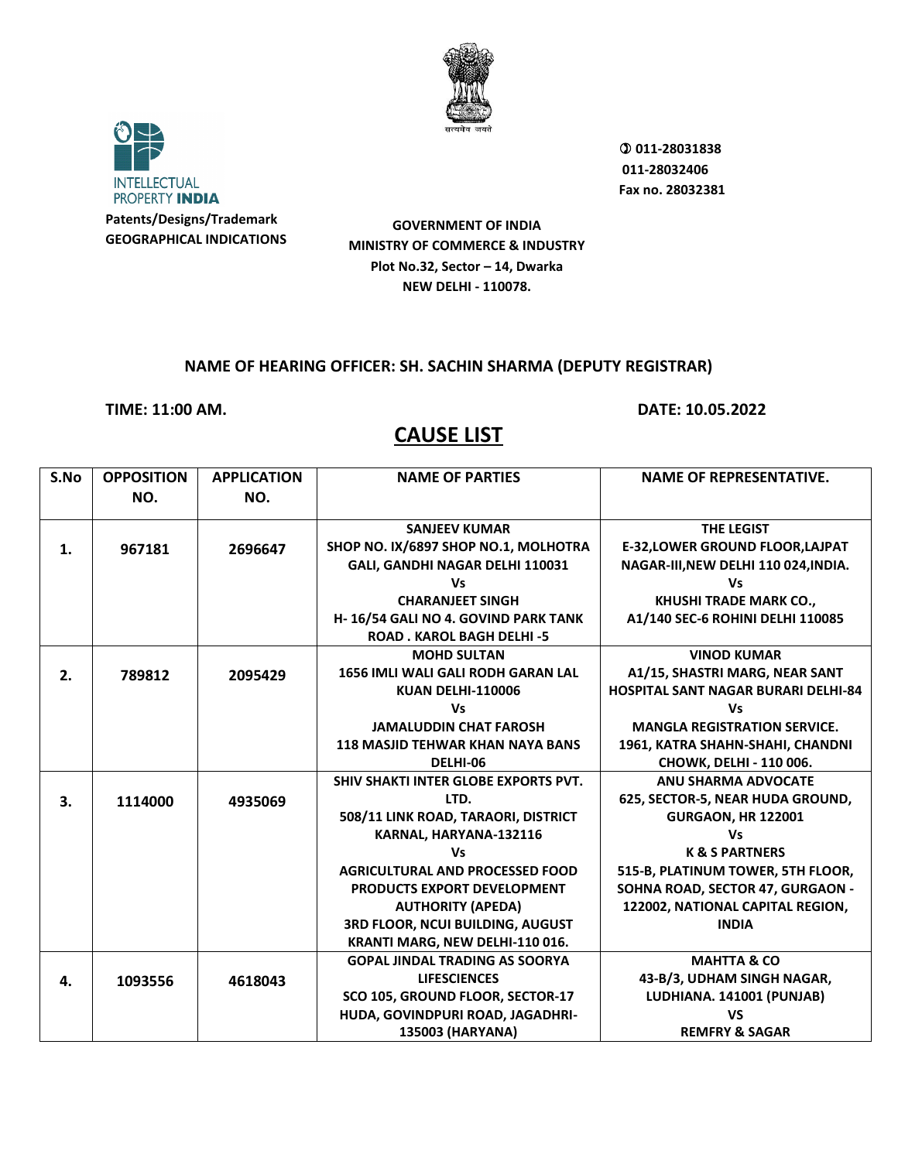



 **011-28031838 011-28032406 Fax no. 28032381**

**GOVERNMENT OF INDIA MINISTRY OF COMMERCE & INDUSTRY Plot No.32, Sector – 14, Dwarka NEW DELHI - 110078.**

### **NAME OF HEARING OFFICER: SH. SACHIN SHARMA (DEPUTY REGISTRAR)**

**TIME: 11:00 AM. DATE: 10.05.2022**

| S.No | <b>OPPOSITION</b> | <b>APPLICATION</b> | <b>NAME OF PARTIES</b>                      | <b>NAME OF REPRESENTATIVE.</b>             |
|------|-------------------|--------------------|---------------------------------------------|--------------------------------------------|
|      | NO.               | NO.                |                                             |                                            |
|      |                   |                    | <b>SANJEEV KUMAR</b>                        | <b>THE LEGIST</b>                          |
| 1.   | 967181            | 2696647            | SHOP NO. IX/6897 SHOP NO.1, MOLHOTRA        | <b>E-32, LOWER GROUND FLOOR, LAJPAT</b>    |
|      |                   |                    | GALI, GANDHI NAGAR DELHI 110031             | NAGAR-III, NEW DELHI 110 024, INDIA.       |
|      |                   |                    | Vs                                          | Vs                                         |
|      |                   |                    | <b>CHARANJEET SINGH</b>                     | KHUSHI TRADE MARK CO.,                     |
|      |                   |                    | H-16/54 GALI NO 4. GOVIND PARK TANK         | A1/140 SEC-6 ROHINI DELHI 110085           |
|      |                   |                    | <b>ROAD. KAROL BAGH DELHI-5</b>             |                                            |
|      |                   |                    | <b>MOHD SULTAN</b>                          | <b>VINOD KUMAR</b>                         |
| 2.   | 789812            | 2095429            | <b>1656 IMLI WALI GALI RODH GARAN LAL</b>   | A1/15, SHASTRI MARG, NEAR SANT             |
|      |                   |                    | <b>KUAN DELHI-110006</b>                    | <b>HOSPITAL SANT NAGAR BURARI DELHI-84</b> |
|      |                   |                    | <b>Vs</b>                                   | Vs                                         |
|      |                   |                    | <b>JAMALUDDIN CHAT FAROSH</b>               | <b>MANGLA REGISTRATION SERVICE.</b>        |
|      |                   |                    | <b>118 MASJID TEHWAR KHAN NAYA BANS</b>     | 1961, KATRA SHAHN-SHAHI, CHANDNI           |
|      |                   |                    | DELHI-06                                    | CHOWK, DELHI - 110 006.                    |
|      |                   |                    | <b>SHIV SHAKTI INTER GLOBE EXPORTS PVT.</b> | <b>ANU SHARMA ADVOCATE</b>                 |
| 3.   | 1114000           | 4935069            | LTD.                                        | 625, SECTOR-5, NEAR HUDA GROUND,           |
|      |                   |                    | 508/11 LINK ROAD, TARAORI, DISTRICT         | <b>GURGAON, HR 122001</b>                  |
|      |                   |                    | KARNAL, HARYANA-132116                      | <b>Vs</b>                                  |
|      |                   |                    | <b>Vs</b>                                   | <b>K &amp; S PARTNERS</b>                  |
|      |                   |                    | <b>AGRICULTURAL AND PROCESSED FOOD</b>      | 515-B, PLATINUM TOWER, 5TH FLOOR,          |
|      |                   |                    | <b>PRODUCTS EXPORT DEVELOPMENT</b>          | SOHNA ROAD, SECTOR 47, GURGAON -           |
|      |                   |                    | <b>AUTHORITY (APEDA)</b>                    | 122002, NATIONAL CAPITAL REGION,           |
|      |                   |                    | 3RD FLOOR, NCUI BUILDING, AUGUST            | <b>INDIA</b>                               |
|      |                   |                    | KRANTI MARG, NEW DELHI-110 016.             |                                            |
|      |                   |                    | <b>GOPAL JINDAL TRADING AS SOORYA</b>       | <b>MAHTTA &amp; CO</b>                     |
| 4.   | 1093556           | 4618043            | <b>LIFESCIENCES</b>                         | 43-B/3, UDHAM SINGH NAGAR,                 |
|      |                   |                    | SCO 105, GROUND FLOOR, SECTOR-17            | LUDHIANA. 141001 (PUNJAB)                  |
|      |                   |                    | HUDA, GOVINDPURI ROAD, JAGADHRI-            | <b>VS</b>                                  |
|      |                   |                    | 135003 (HARYANA)                            | <b>REMFRY &amp; SAGAR</b>                  |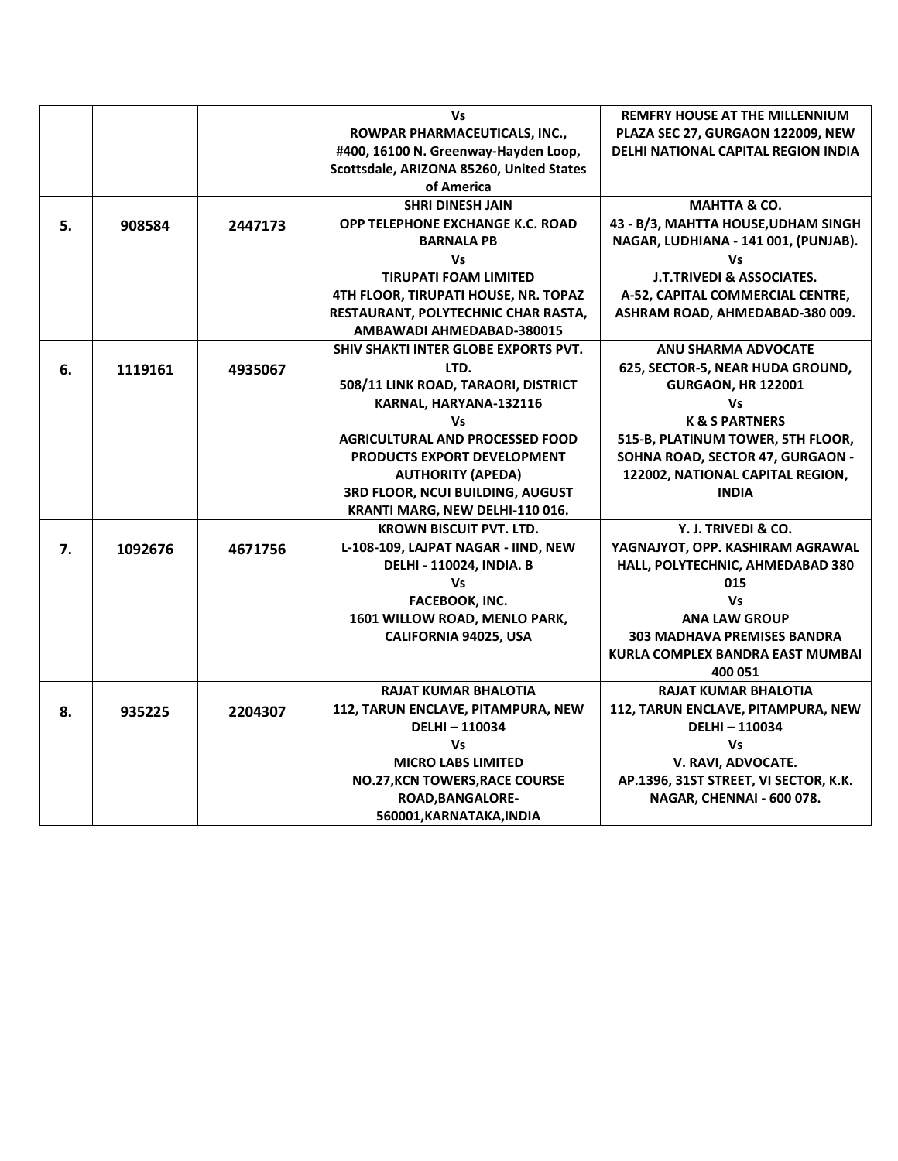|    |         |         | Vs                                       | <b>REMFRY HOUSE AT THE MILLENNIUM</b> |
|----|---------|---------|------------------------------------------|---------------------------------------|
|    |         |         | ROWPAR PHARMACEUTICALS, INC.,            | PLAZA SEC 27, GURGAON 122009, NEW     |
|    |         |         | #400, 16100 N. Greenway-Hayden Loop,     | DELHI NATIONAL CAPITAL REGION INDIA   |
|    |         |         | Scottsdale, ARIZONA 85260, United States |                                       |
|    |         |         | of America                               |                                       |
|    |         |         | <b>SHRI DINESH JAIN</b>                  | <b>MAHTTA &amp; CO.</b>               |
| 5. | 908584  | 2447173 | OPP TELEPHONE EXCHANGE K.C. ROAD         | 43 - B/3, MAHTTA HOUSE, UDHAM SINGH   |
|    |         |         | <b>BARNALA PB</b>                        | NAGAR, LUDHIANA - 141 001, (PUNJAB).  |
|    |         |         | <b>Vs</b>                                | Vs                                    |
|    |         |         | <b>TIRUPATI FOAM LIMITED</b>             | <b>J.T.TRIVEDI &amp; ASSOCIATES.</b>  |
|    |         |         | 4TH FLOOR, TIRUPATI HOUSE, NR. TOPAZ     | A-52, CAPITAL COMMERCIAL CENTRE,      |
|    |         |         | RESTAURANT, POLYTECHNIC CHAR RASTA,      | ASHRAM ROAD, AHMEDABAD-380 009.       |
|    |         |         | AMBAWADI AHMEDABAD-380015                |                                       |
|    |         |         | SHIV SHAKTI INTER GLOBE EXPORTS PVT.     | <b>ANU SHARMA ADVOCATE</b>            |
| 6. | 1119161 | 4935067 | LTD.                                     | 625, SECTOR-5, NEAR HUDA GROUND,      |
|    |         |         | 508/11 LINK ROAD, TARAORI, DISTRICT      | <b>GURGAON, HR 122001</b>             |
|    |         |         | KARNAL, HARYANA-132116                   | Vs                                    |
|    |         |         | <b>Vs</b>                                | <b>K &amp; S PARTNERS</b>             |
|    |         |         | <b>AGRICULTURAL AND PROCESSED FOOD</b>   | 515-B, PLATINUM TOWER, 5TH FLOOR,     |
|    |         |         | <b>PRODUCTS EXPORT DEVELOPMENT</b>       | SOHNA ROAD, SECTOR 47, GURGAON -      |
|    |         |         | <b>AUTHORITY (APEDA)</b>                 | 122002, NATIONAL CAPITAL REGION,      |
|    |         |         | 3RD FLOOR, NCUI BUILDING, AUGUST         | <b>INDIA</b>                          |
|    |         |         | KRANTI MARG, NEW DELHI-110 016.          |                                       |
|    |         |         | <b>KROWN BISCUIT PVT. LTD.</b>           | Y. J. TRIVEDI & CO.                   |
| 7. | 1092676 | 4671756 | L-108-109, LAJPAT NAGAR - IIND, NEW      | YAGNAJYOT, OPP. KASHIRAM AGRAWAL      |
|    |         |         | <b>DELHI - 110024, INDIA. B</b>          | HALL, POLYTECHNIC, AHMEDABAD 380      |
|    |         |         | Vs                                       | 015                                   |
|    |         |         | FACEBOOK, INC.                           | <b>Vs</b>                             |
|    |         |         | 1601 WILLOW ROAD, MENLO PARK,            | <b>ANA LAW GROUP</b>                  |
|    |         |         | CALIFORNIA 94025, USA                    | <b>303 MADHAVA PREMISES BANDRA</b>    |
|    |         |         |                                          | KURLA COMPLEX BANDRA EAST MUMBAI      |
|    |         |         |                                          | 400 051                               |
|    |         |         | <b>RAJAT KUMAR BHALOTIA</b>              | <b>RAJAT KUMAR BHALOTIA</b>           |
| 8. | 935225  | 2204307 | 112, TARUN ENCLAVE, PITAMPURA, NEW       | 112, TARUN ENCLAVE, PITAMPURA, NEW    |
|    |         |         | DELHI-110034                             | <b>DELHI-110034</b>                   |
|    |         |         | <b>Vs</b>                                | <b>Vs</b>                             |
|    |         |         | <b>MICRO LABS LIMITED</b>                | V. RAVI, ADVOCATE.                    |
|    |         |         | <b>NO.27, KCN TOWERS, RACE COURSE</b>    | AP.1396, 31ST STREET, VI SECTOR, K.K. |
|    |         |         | <b>ROAD, BANGALORE-</b>                  | NAGAR, CHENNAI - 600 078.             |
|    |         |         | 560001, KARNATAKA, INDIA                 |                                       |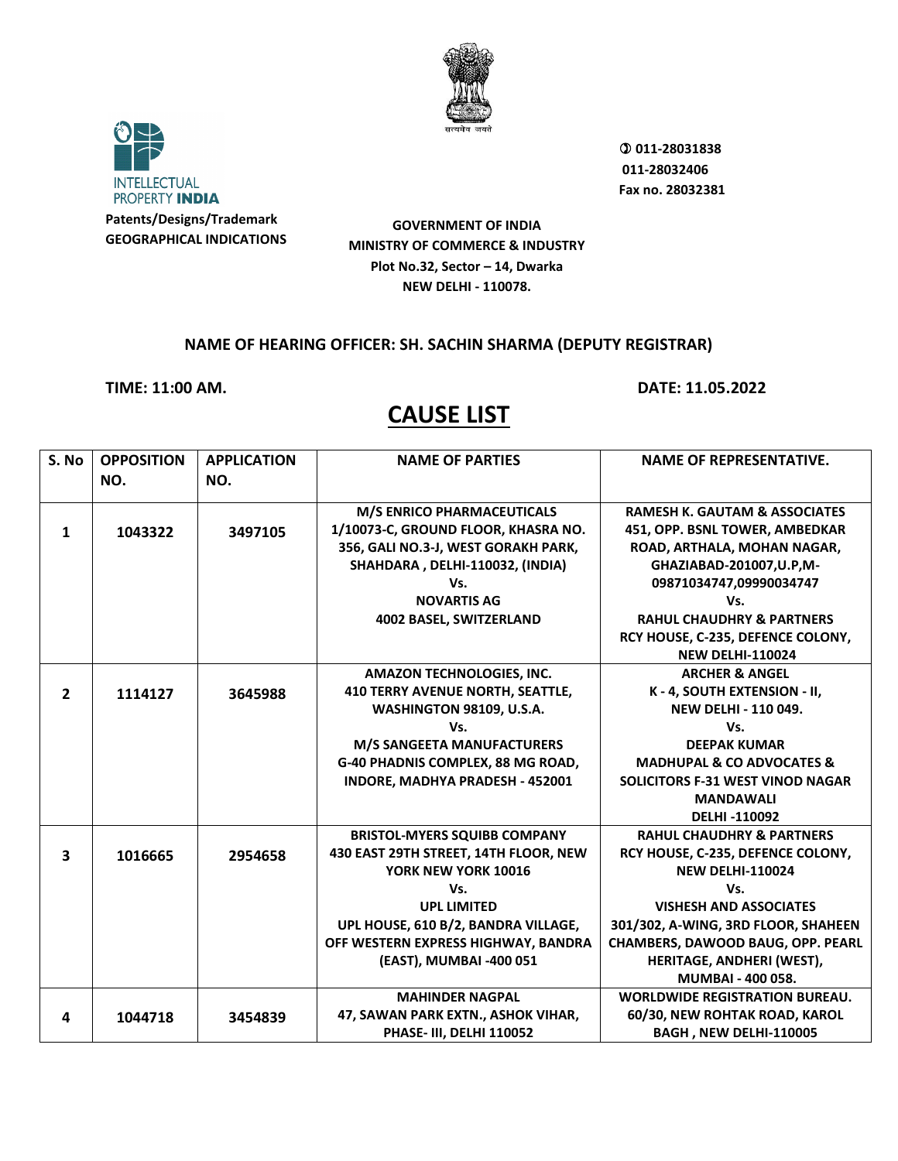



 **011-28031838 011-28032406 Fax no. 28032381**

**GOVERNMENT OF INDIA MINISTRY OF COMMERCE & INDUSTRY Plot No.32, Sector – 14, Dwarka NEW DELHI - 110078.**

#### **NAME OF HEARING OFFICER: SH. SACHIN SHARMA (DEPUTY REGISTRAR)**

**TIME: 11:00 AM. DATE: 11.05.2022**

| S. No                   | <b>OPPOSITION</b> | <b>APPLICATION</b> | <b>NAME OF PARTIES</b>                  | <b>NAME OF REPRESENTATIVE.</b>           |
|-------------------------|-------------------|--------------------|-----------------------------------------|------------------------------------------|
|                         | NO.               | NO.                |                                         |                                          |
|                         |                   |                    |                                         |                                          |
|                         |                   |                    | <b>M/S ENRICO PHARMACEUTICALS</b>       | <b>RAMESH K. GAUTAM &amp; ASSOCIATES</b> |
| 1                       | 1043322           | 3497105            | 1/10073-C, GROUND FLOOR, KHASRA NO.     | 451, OPP. BSNL TOWER, AMBEDKAR           |
|                         |                   |                    | 356, GALI NO.3-J, WEST GORAKH PARK,     | ROAD, ARTHALA, MOHAN NAGAR,              |
|                         |                   |                    | SHAHDARA, DELHI-110032, (INDIA)         | GHAZIABAD-201007, U.P, M-                |
|                         |                   |                    | Vs.                                     | 09871034747,09990034747                  |
|                         |                   |                    | <b>NOVARTIS AG</b>                      | Vs.                                      |
|                         |                   |                    | 4002 BASEL, SWITZERLAND                 | <b>RAHUL CHAUDHRY &amp; PARTNERS</b>     |
|                         |                   |                    |                                         | RCY HOUSE, C-235, DEFENCE COLONY,        |
|                         |                   |                    |                                         | <b>NEW DELHI-110024</b>                  |
|                         |                   |                    | <b>AMAZON TECHNOLOGIES, INC.</b>        | <b>ARCHER &amp; ANGEL</b>                |
| $\overline{2}$          | 1114127           | 3645988            | <b>410 TERRY AVENUE NORTH, SEATTLE,</b> | K-4, SOUTH EXTENSION - II,               |
|                         |                   |                    | WASHINGTON 98109, U.S.A.                | <b>NEW DELHI - 110 049.</b>              |
|                         |                   |                    | Vs.                                     | Vs.                                      |
|                         |                   |                    | <b>M/S SANGEETA MANUFACTURERS</b>       | <b>DEEPAK KUMAR</b>                      |
|                         |                   |                    | G-40 PHADNIS COMPLEX, 88 MG ROAD,       | <b>MADHUPAL &amp; CO ADVOCATES &amp;</b> |
|                         |                   |                    | INDORE, MADHYA PRADESH - 452001         | <b>SOLICITORS F-31 WEST VINOD NAGAR</b>  |
|                         |                   |                    |                                         | <b>MANDAWALI</b>                         |
|                         |                   |                    |                                         | <b>DELHI-110092</b>                      |
|                         |                   |                    | <b>BRISTOL-MYERS SQUIBB COMPANY</b>     | <b>RAHUL CHAUDHRY &amp; PARTNERS</b>     |
| $\overline{\mathbf{3}}$ | 1016665           | 2954658            | 430 EAST 29TH STREET, 14TH FLOOR, NEW   | RCY HOUSE, C-235, DEFENCE COLONY,        |
|                         |                   |                    | YORK NEW YORK 10016                     | <b>NEW DELHI-110024</b>                  |
|                         |                   |                    | Vs.                                     | Vs.                                      |
|                         |                   |                    | <b>UPL LIMITED</b>                      | <b>VISHESH AND ASSOCIATES</b>            |
|                         |                   |                    | UPL HOUSE, 610 B/2, BANDRA VILLAGE,     | 301/302, A-WING, 3RD FLOOR, SHAHEEN      |
|                         |                   |                    | OFF WESTERN EXPRESS HIGHWAY, BANDRA     | CHAMBERS, DAWOOD BAUG, OPP. PEARL        |
|                         |                   |                    | (EAST), MUMBAI -400 051                 | HERITAGE, ANDHERI (WEST),                |
|                         |                   |                    |                                         | MUMBAI - 400 058.                        |
|                         |                   |                    | <b>MAHINDER NAGPAL</b>                  | <b>WORLDWIDE REGISTRATION BUREAU.</b>    |
| 4                       | 1044718           | 3454839            | 47, SAWAN PARK EXTN., ASHOK VIHAR,      | 60/30, NEW ROHTAK ROAD, KAROL            |
|                         |                   |                    | PHASE- III, DELHI 110052                | BAGH, NEW DELHI-110005                   |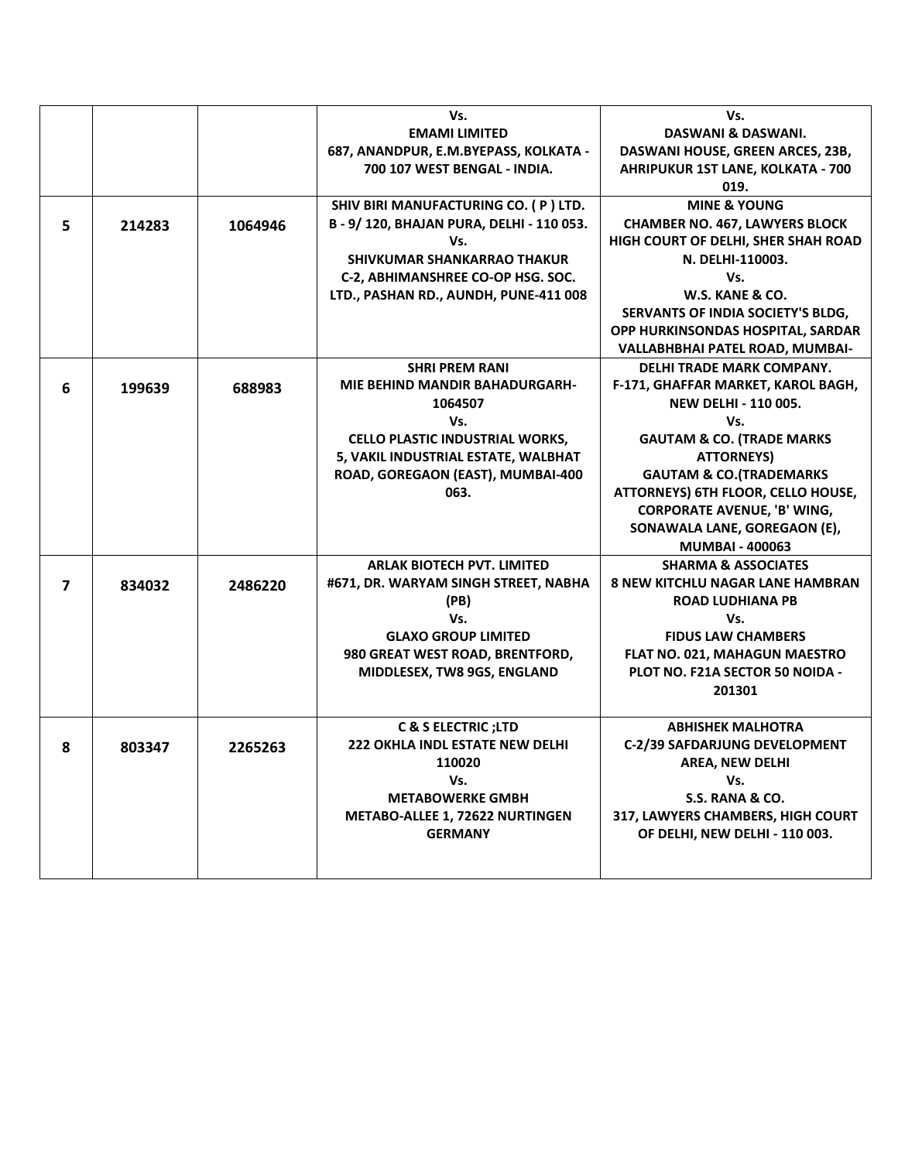|                |        |         | Vs.                                                                      | Vs.                                                                 |
|----------------|--------|---------|--------------------------------------------------------------------------|---------------------------------------------------------------------|
|                |        |         | <b>EMAMI LIMITED</b>                                                     | <b>DASWANI &amp; DASWANI.</b>                                       |
|                |        |         | 687, ANANDPUR, E.M.BYEPASS, KOLKATA -                                    | DASWANI HOUSE, GREEN ARCES, 23B,                                    |
|                |        |         | 700 107 WEST BENGAL - INDIA.                                             | AHRIPUKUR 1ST LANE, KOLKATA - 700                                   |
|                |        |         |                                                                          | 019.                                                                |
|                |        |         | SHIV BIRI MANUFACTURING CO. (P) LTD.                                     | <b>MINE &amp; YOUNG</b>                                             |
| 5              | 214283 | 1064946 | B - 9/ 120, BHAJAN PURA, DELHI - 110 053.                                | <b>CHAMBER NO. 467, LAWYERS BLOCK</b>                               |
|                |        |         | Vs.                                                                      | HIGH COURT OF DELHI, SHER SHAH ROAD                                 |
|                |        |         | <b>SHIVKUMAR SHANKARRAO THAKUR</b>                                       | N. DELHI-110003.                                                    |
|                |        |         | C-2, ABHIMANSHREE CO-OP HSG. SOC.                                        | Vs.                                                                 |
|                |        |         | LTD., PASHAN RD., AUNDH, PUNE-411 008                                    | W.S. KANE & CO.                                                     |
|                |        |         |                                                                          | SERVANTS OF INDIA SOCIETY'S BLDG,                                   |
|                |        |         |                                                                          | OPP HURKINSONDAS HOSPITAL, SARDAR                                   |
|                |        |         |                                                                          | VALLABHBHAI PATEL ROAD, MUMBAI-                                     |
|                |        |         | <b>SHRI PREM RANI</b>                                                    | DELHI TRADE MARK COMPANY.                                           |
| 6              | 199639 | 688983  | <b>MIE BEHIND MANDIR BAHADURGARH-</b>                                    | F-171, GHAFFAR MARKET, KAROL BAGH,                                  |
|                |        |         | 1064507                                                                  | <b>NEW DELHI - 110 005.</b>                                         |
|                |        |         | Vs.                                                                      | Vs.                                                                 |
|                |        |         | <b>CELLO PLASTIC INDUSTRIAL WORKS,</b>                                   | <b>GAUTAM &amp; CO. (TRADE MARKS</b>                                |
|                |        |         | 5, VAKIL INDUSTRIAL ESTATE, WALBHAT                                      | <b>ATTORNEYS)</b>                                                   |
|                |        |         | ROAD, GOREGAON (EAST), MUMBAI-400                                        | <b>GAUTAM &amp; CO. (TRADEMARKS</b>                                 |
|                |        |         | 063.                                                                     | ATTORNEYS) 6TH FLOOR, CELLO HOUSE,                                  |
|                |        |         |                                                                          | <b>CORPORATE AVENUE, 'B' WING,</b>                                  |
|                |        |         |                                                                          | SONAWALA LANE, GOREGAON (E),                                        |
|                |        |         |                                                                          | <b>MUMBAI - 400063</b>                                              |
|                |        |         | <b>ARLAK BIOTECH PVT. LIMITED</b>                                        | <b>SHARMA &amp; ASSOCIATES</b>                                      |
| $\overline{ }$ | 834032 | 2486220 | #671, DR. WARYAM SINGH STREET, NABHA                                     | <b>8 NEW KITCHLU NAGAR LANE HAMBRAN</b>                             |
|                |        |         | (PB)                                                                     | <b>ROAD LUDHIANA PB</b>                                             |
|                |        |         | Vs.                                                                      | Vs.                                                                 |
|                |        |         | <b>GLAXO GROUP LIMITED</b>                                               | <b>FIDUS LAW CHAMBERS</b>                                           |
|                |        |         | 980 GREAT WEST ROAD, BRENTFORD,                                          | FLAT NO. 021, MAHAGUN MAESTRO                                       |
|                |        |         | MIDDLESEX, TW8 9GS, ENGLAND                                              | PLOT NO. F21A SECTOR 50 NOIDA -                                     |
|                |        |         |                                                                          | 201301                                                              |
|                |        |         |                                                                          |                                                                     |
|                |        |         | <b>C &amp; S ELECTRIC; LTD</b><br><b>222 OKHLA INDL ESTATE NEW DELHI</b> | <b>ABHISHEK MALHOTRA</b><br><b>C-2/39 SAFDARJUNG DEVELOPMENT</b>    |
| 8              | 803347 | 2265263 |                                                                          |                                                                     |
|                |        |         | 110020                                                                   | AREA, NEW DELHI                                                     |
|                |        |         | Vs.<br><b>METABOWERKE GMBH</b>                                           | Vs.<br>S.S. RANA & CO.                                              |
|                |        |         |                                                                          |                                                                     |
|                |        |         | <b>METABO-ALLEE 1, 72622 NURTINGEN</b><br><b>GERMANY</b>                 | 317, LAWYERS CHAMBERS, HIGH COURT<br>OF DELHI, NEW DELHI - 110 003. |
|                |        |         |                                                                          |                                                                     |
|                |        |         |                                                                          |                                                                     |
|                |        |         |                                                                          |                                                                     |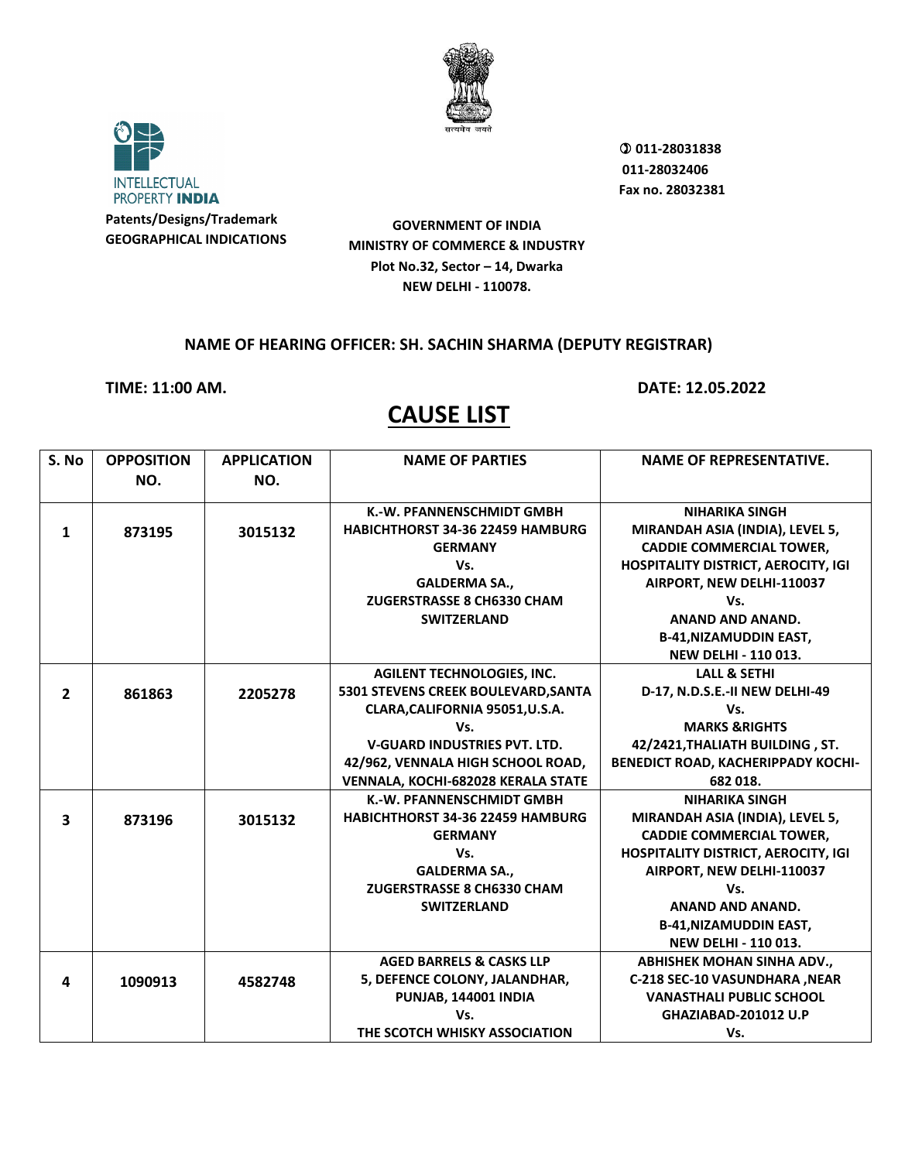



 **011-28031838 011-28032406 Fax no. 28032381**

**GOVERNMENT OF INDIA MINISTRY OF COMMERCE & INDUSTRY Plot No.32, Sector – 14, Dwarka NEW DELHI - 110078.**

### **NAME OF HEARING OFFICER: SH. SACHIN SHARMA (DEPUTY REGISTRAR)**

**TIME: 11:00 AM. DATE: 12.05.2022**

| S. No          | <b>OPPOSITION</b> | <b>APPLICATION</b> | <b>NAME OF PARTIES</b>                  | <b>NAME OF REPRESENTATIVE.</b>             |
|----------------|-------------------|--------------------|-----------------------------------------|--------------------------------------------|
|                | NO.               | NO.                |                                         |                                            |
|                |                   |                    |                                         |                                            |
|                |                   |                    | K.-W. PFANNENSCHMIDT GMBH               | <b>NIHARIKA SINGH</b>                      |
| 1              | 873195            | 3015132            | <b>HABICHTHORST 34-36 22459 HAMBURG</b> | MIRANDAH ASIA (INDIA), LEVEL 5,            |
|                |                   |                    | <b>GERMANY</b>                          | <b>CADDIE COMMERCIAL TOWER,</b>            |
|                |                   |                    | Vs.                                     | <b>HOSPITALITY DISTRICT, AEROCITY, IGI</b> |
|                |                   |                    | <b>GALDERMA SA.,</b>                    | AIRPORT, NEW DELHI-110037                  |
|                |                   |                    | ZUGERSTRASSE 8 CH6330 CHAM              | Vs.                                        |
|                |                   |                    | <b>SWITZERLAND</b>                      | <b>ANAND AND ANAND.</b>                    |
|                |                   |                    |                                         | <b>B-41, NIZAMUDDIN EAST,</b>              |
|                |                   |                    |                                         | <b>NEW DELHI - 110 013.</b>                |
|                |                   |                    | <b>AGILENT TECHNOLOGIES, INC.</b>       | <b>LALL &amp; SETHI</b>                    |
| $\overline{2}$ | 861863            | 2205278            | 5301 STEVENS CREEK BOULEVARD, SANTA     | D-17, N.D.S.E.-II NEW DELHI-49             |
|                |                   |                    | CLARA, CALIFORNIA 95051, U.S.A.         | Vs.                                        |
|                |                   |                    | Vs.                                     | <b>MARKS &amp; RIGHTS</b>                  |
|                |                   |                    | <b>V-GUARD INDUSTRIES PVT. LTD.</b>     | 42/2421, THALIATH BUILDING, ST.            |
|                |                   |                    | 42/962, VENNALA HIGH SCHOOL ROAD,       | BENEDICT ROAD, KACHERIPPADY KOCHI-         |
|                |                   |                    | VENNALA, KOCHI-682028 KERALA STATE      | 682 018.                                   |
|                |                   |                    | K.-W. PFANNENSCHMIDT GMBH               | <b>NIHARIKA SINGH</b>                      |
| 3              | 873196            | 3015132            | <b>HABICHTHORST 34-36 22459 HAMBURG</b> | MIRANDAH ASIA (INDIA), LEVEL 5,            |
|                |                   |                    | <b>GERMANY</b>                          | <b>CADDIE COMMERCIAL TOWER,</b>            |
|                |                   |                    | Vs.                                     | <b>HOSPITALITY DISTRICT, AEROCITY, IGI</b> |
|                |                   |                    | <b>GALDERMA SA.,</b>                    | AIRPORT, NEW DELHI-110037                  |
|                |                   |                    | ZUGERSTRASSE 8 CH6330 CHAM              | Vs.                                        |
|                |                   |                    | <b>SWITZERLAND</b>                      | <b>ANAND AND ANAND.</b>                    |
|                |                   |                    |                                         | <b>B-41, NIZAMUDDIN EAST,</b>              |
|                |                   |                    |                                         | <b>NEW DELHI - 110 013.</b>                |
|                |                   |                    | <b>AGED BARRELS &amp; CASKS LLP</b>     | <b>ABHISHEK MOHAN SINHA ADV.,</b>          |
| 4              | 1090913           | 4582748            | 5, DEFENCE COLONY, JALANDHAR,           | C-218 SEC-10 VASUNDHARA , NEAR             |
|                |                   |                    | PUNJAB, 144001 INDIA                    | <b>VANASTHALI PUBLIC SCHOOL</b>            |
|                |                   |                    | Vs.                                     | GHAZIABAD-201012 U.P                       |
|                |                   |                    | THE SCOTCH WHISKY ASSOCIATION           | Vs.                                        |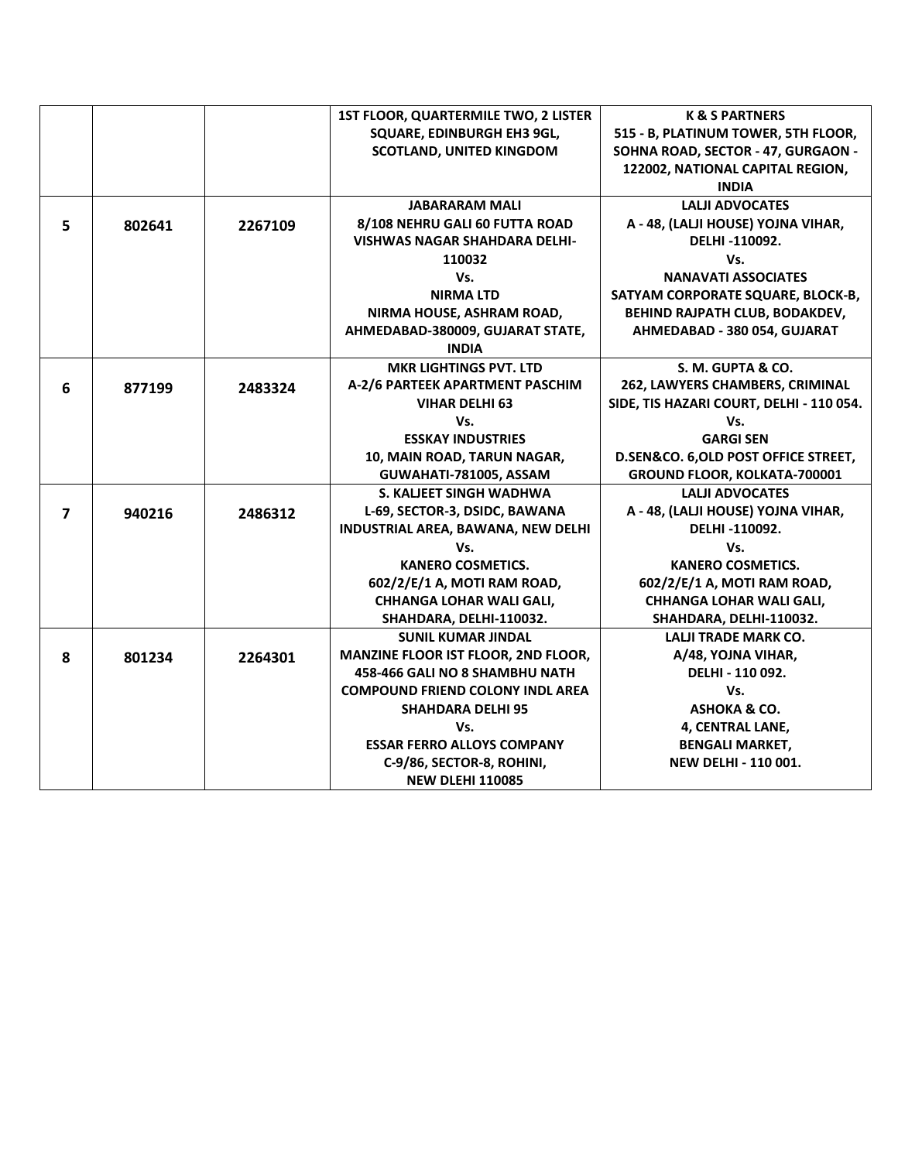|                |        |         | <b>1ST FLOOR, QUARTERMILE TWO, 2 LISTER</b> | <b>K &amp; S PARTNERS</b>                |
|----------------|--------|---------|---------------------------------------------|------------------------------------------|
|                |        |         | SQUARE, EDINBURGH EH3 9GL,                  | 515 - B, PLATINUM TOWER, 5TH FLOOR,      |
|                |        |         | <b>SCOTLAND, UNITED KINGDOM</b>             | SOHNA ROAD, SECTOR - 47, GURGAON -       |
|                |        |         |                                             | 122002, NATIONAL CAPITAL REGION,         |
|                |        |         |                                             | <b>INDIA</b>                             |
|                |        |         | <b>JABARARAM MALI</b>                       | <b>LALJI ADVOCATES</b>                   |
| 5              | 802641 | 2267109 | 8/108 NEHRU GALI 60 FUTTA ROAD              | A - 48, (LALJI HOUSE) YOJNA VIHAR,       |
|                |        |         | VISHWAS NAGAR SHAHDARA DELHI-               | DELHI-110092.                            |
|                |        |         | 110032                                      | Vs.                                      |
|                |        |         | Vs.                                         | <b>NANAVATI ASSOCIATES</b>               |
|                |        |         | <b>NIRMALTD</b>                             | SATYAM CORPORATE SQUARE, BLOCK-B,        |
|                |        |         | NIRMA HOUSE, ASHRAM ROAD,                   | BEHIND RAJPATH CLUB, BODAKDEV,           |
|                |        |         | AHMEDABAD-380009, GUJARAT STATE,            | AHMEDABAD - 380 054, GUJARAT             |
|                |        |         | <b>INDIA</b>                                |                                          |
|                |        |         | <b>MKR LIGHTINGS PVT. LTD</b>               | S. M. GUPTA & CO.                        |
| 6              | 877199 | 2483324 | A-2/6 PARTEEK APARTMENT PASCHIM             | 262, LAWYERS CHAMBERS, CRIMINAL          |
|                |        |         | <b>VIHAR DELHI 63</b>                       | SIDE, TIS HAZARI COURT, DELHI - 110 054. |
|                |        |         | Vs.                                         | Vs.                                      |
|                |        |         | <b>ESSKAY INDUSTRIES</b>                    | <b>GARGI SEN</b>                         |
|                |        |         | 10, MAIN ROAD, TARUN NAGAR,                 | D.SEN&CO. 6, OLD POST OFFICE STREET,     |
|                |        |         | GUWAHATI-781005, ASSAM                      | GROUND FLOOR, KOLKATA-700001             |
|                |        |         | S. KALJEET SINGH WADHWA                     | <b>LALJI ADVOCATES</b>                   |
| $\overline{7}$ | 940216 | 2486312 | L-69, SECTOR-3, DSIDC, BAWANA               | A - 48, (LALJI HOUSE) YOJNA VIHAR,       |
|                |        |         | INDUSTRIAL AREA, BAWANA, NEW DELHI          | DELHI-110092.                            |
|                |        |         | Vs.                                         | Vs.                                      |
|                |        |         | <b>KANERO COSMETICS.</b>                    | <b>KANERO COSMETICS.</b>                 |
|                |        |         | 602/2/E/1 A, MOTI RAM ROAD,                 | 602/2/E/1 A, MOTI RAM ROAD,              |
|                |        |         | <b>CHHANGA LOHAR WALI GALI,</b>             | <b>CHHANGA LOHAR WALI GALI,</b>          |
|                |        |         | SHAHDARA, DELHI-110032.                     | SHAHDARA, DELHI-110032.                  |
|                |        |         | <b>SUNIL KUMAR JINDAL</b>                   | <b>LALJI TRADE MARK CO.</b>              |
| 8              | 801234 | 2264301 | <b>MANZINE FLOOR IST FLOOR, 2ND FLOOR,</b>  | A/48, YOJNA VIHAR,                       |
|                |        |         | 458-466 GALI NO 8 SHAMBHU NATH              | DELHI - 110 092.                         |
|                |        |         | <b>COMPOUND FRIEND COLONY INDL AREA</b>     | Vs.                                      |
|                |        |         | <b>SHAHDARA DELHI 95</b>                    | ASHOKA & CO.                             |
|                |        |         | Vs.                                         | 4, CENTRAL LANE,                         |
|                |        |         | <b>ESSAR FERRO ALLOYS COMPANY</b>           | <b>BENGALI MARKET,</b>                   |
|                |        |         | C-9/86, SECTOR-8, ROHINI,                   | <b>NEW DELHI - 110 001.</b>              |
|                |        |         | <b>NEW DLEHI 110085</b>                     |                                          |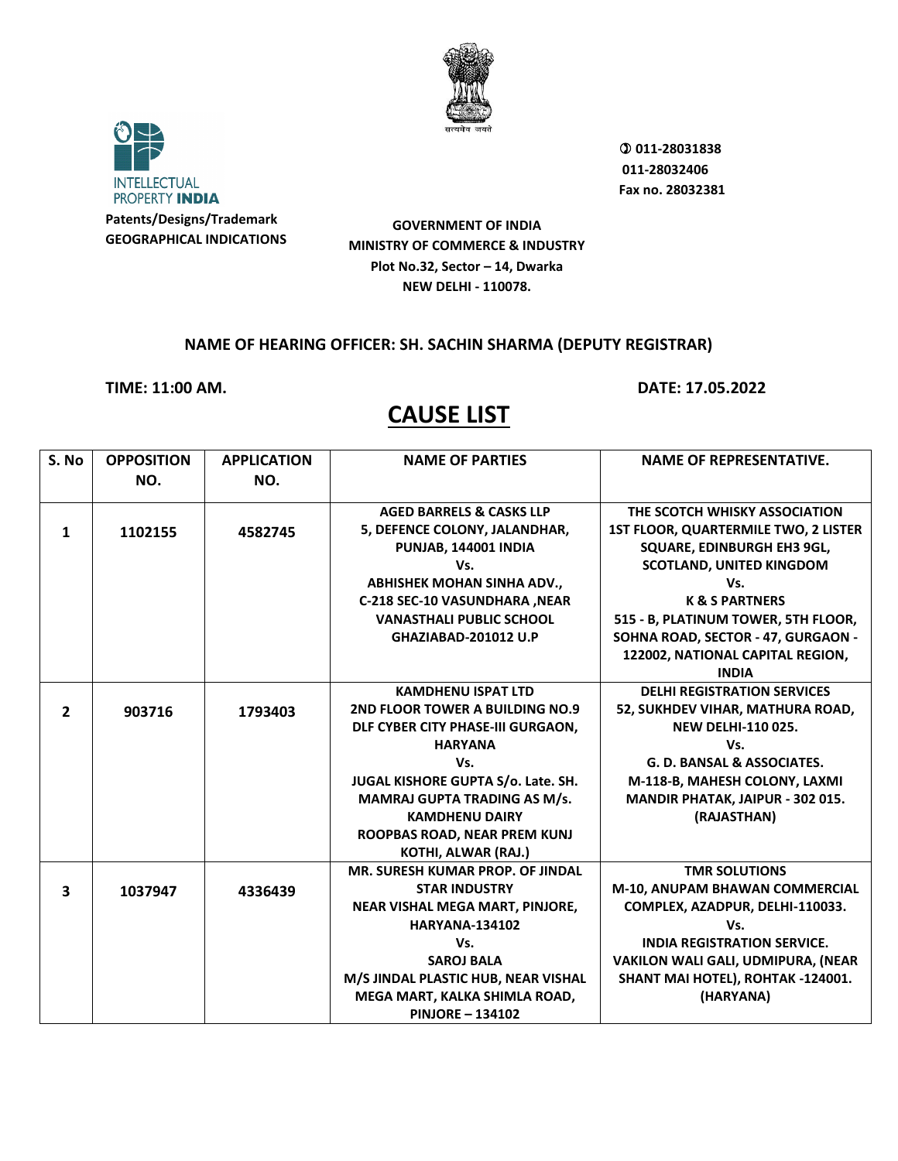



 **011-28031838 011-28032406 Fax no. 28032381**

**GOVERNMENT OF INDIA MINISTRY OF COMMERCE & INDUSTRY Plot No.32, Sector – 14, Dwarka NEW DELHI - 110078.**

### **NAME OF HEARING OFFICER: SH. SACHIN SHARMA (DEPUTY REGISTRAR)**

**TIME: 11:00 AM. DATE: 17.05.2022**

| S. No                   | <b>OPPOSITION</b> | <b>APPLICATION</b> | <b>NAME OF PARTIES</b>                 | <b>NAME OF REPRESENTATIVE.</b>        |
|-------------------------|-------------------|--------------------|----------------------------------------|---------------------------------------|
|                         | NO.               | NO.                |                                        |                                       |
|                         |                   |                    |                                        |                                       |
|                         |                   |                    | <b>AGED BARRELS &amp; CASKS LLP</b>    | THE SCOTCH WHISKY ASSOCIATION         |
| 1                       | 1102155           | 4582745            | 5, DEFENCE COLONY, JALANDHAR,          | 1ST FLOOR, QUARTERMILE TWO, 2 LISTER  |
|                         |                   |                    | PUNJAB, 144001 INDIA                   | SQUARE, EDINBURGH EH3 9GL,            |
|                         |                   |                    | Vs.                                    | <b>SCOTLAND, UNITED KINGDOM</b>       |
|                         |                   |                    | <b>ABHISHEK MOHAN SINHA ADV.,</b>      | Vs.                                   |
|                         |                   |                    | C-218 SEC-10 VASUNDHARA , NEAR         | <b>K &amp; S PARTNERS</b>             |
|                         |                   |                    | <b>VANASTHALI PUBLIC SCHOOL</b>        | 515 - B, PLATINUM TOWER, 5TH FLOOR,   |
|                         |                   |                    | GHAZIABAD-201012 U.P                   | SOHNA ROAD, SECTOR - 47, GURGAON -    |
|                         |                   |                    |                                        | 122002, NATIONAL CAPITAL REGION,      |
|                         |                   |                    |                                        | <b>INDIA</b>                          |
|                         |                   |                    | <b>KAMDHENU ISPAT LTD</b>              | <b>DELHI REGISTRATION SERVICES</b>    |
| $\overline{2}$          | 903716            | 1793403            | 2ND FLOOR TOWER A BUILDING NO.9        | 52, SUKHDEV VIHAR, MATHURA ROAD,      |
|                         |                   |                    | DLF CYBER CITY PHASE-III GURGAON,      | <b>NEW DELHI-110 025.</b>             |
|                         |                   |                    | <b>HARYANA</b>                         | Vs.                                   |
|                         |                   |                    | Vs.                                    | <b>G. D. BANSAL &amp; ASSOCIATES.</b> |
|                         |                   |                    | JUGAL KISHORE GUPTA S/o. Late. SH.     | M-118-B, MAHESH COLONY, LAXMI         |
|                         |                   |                    | MAMRAJ GUPTA TRADING AS M/s.           | MANDIR PHATAK, JAIPUR - 302 015.      |
|                         |                   |                    | <b>KAMDHENU DAIRY</b>                  | (RAJASTHAN)                           |
|                         |                   |                    | ROOPBAS ROAD, NEAR PREM KUNJ           |                                       |
|                         |                   |                    | KOTHI, ALWAR (RAJ.)                    |                                       |
|                         |                   |                    | MR. SURESH KUMAR PROP. OF JINDAL       | <b>TMR SOLUTIONS</b>                  |
| $\overline{\mathbf{3}}$ | 1037947           | 4336439            | <b>STAR INDUSTRY</b>                   | M-10, ANUPAM BHAWAN COMMERCIAL        |
|                         |                   |                    | <b>NEAR VISHAL MEGA MART, PINJORE,</b> | COMPLEX, AZADPUR, DELHI-110033.       |
|                         |                   |                    | <b>HARYANA-134102</b>                  | Vs.                                   |
|                         |                   |                    | Vs.                                    | <b>INDIA REGISTRATION SERVICE.</b>    |
|                         |                   |                    | <b>SAROJ BALA</b>                      | VAKILON WALI GALI, UDMIPURA, (NEAR    |
|                         |                   |                    | M/S JINDAL PLASTIC HUB, NEAR VISHAL    | SHANT MAI HOTEL), ROHTAK -124001.     |
|                         |                   |                    | MEGA MART, KALKA SHIMLA ROAD,          | (HARYANA)                             |
|                         |                   |                    | <b>PINJORE - 134102</b>                |                                       |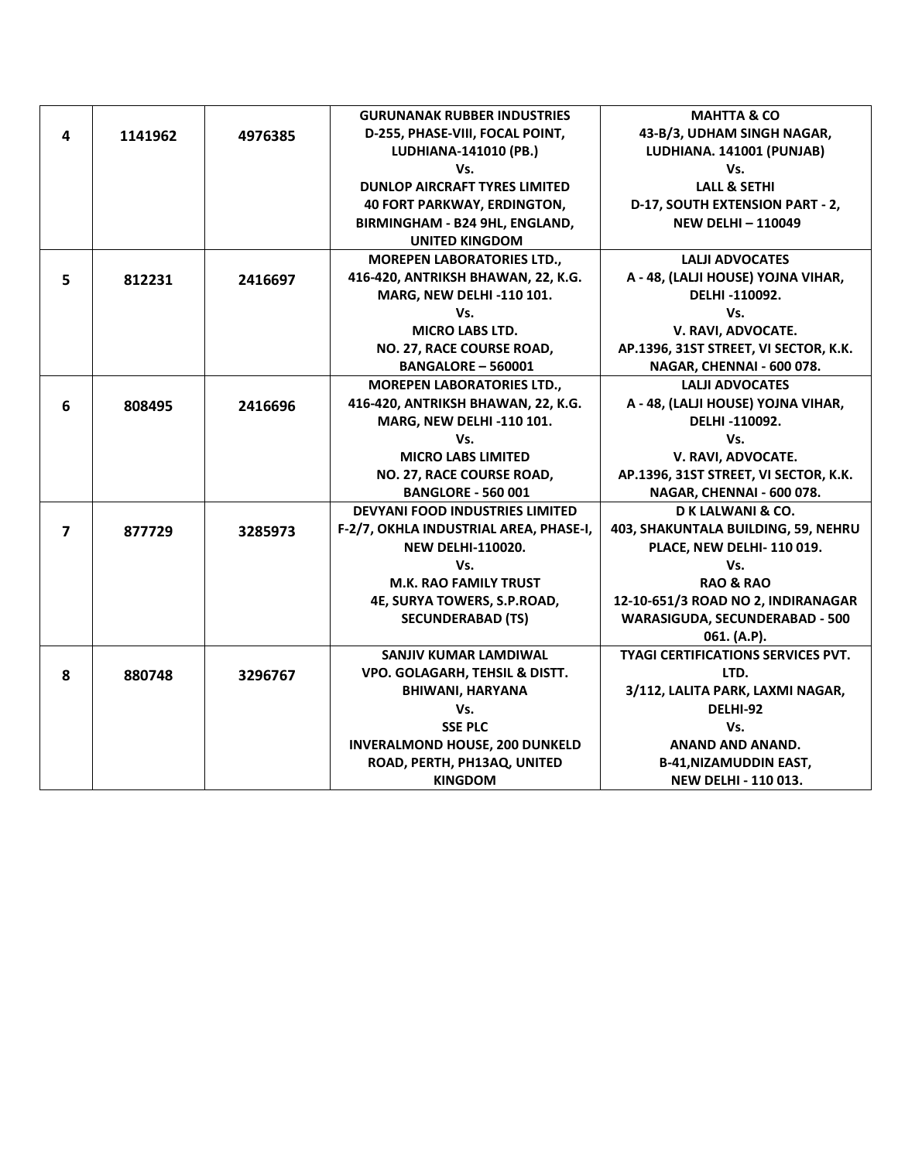|                |         |         | <b>GURUNANAK RUBBER INDUSTRIES</b>     | <b>MAHTTA &amp; CO</b>                    |
|----------------|---------|---------|----------------------------------------|-------------------------------------------|
| 4              | 1141962 | 4976385 | D-255, PHASE-VIII, FOCAL POINT,        | 43-B/3, UDHAM SINGH NAGAR,                |
|                |         |         | LUDHIANA-141010 (PB.)                  | LUDHIANA. 141001 (PUNJAB)                 |
|                |         |         | Vs.                                    | Vs.                                       |
|                |         |         | <b>DUNLOP AIRCRAFT TYRES LIMITED</b>   | <b>LALL &amp; SETHI</b>                   |
|                |         |         | <b>40 FORT PARKWAY, ERDINGTON,</b>     | D-17, SOUTH EXTENSION PART - 2,           |
|                |         |         | BIRMINGHAM - B24 9HL, ENGLAND,         | <b>NEW DELHI-110049</b>                   |
|                |         |         | <b>UNITED KINGDOM</b>                  |                                           |
|                |         |         | <b>MOREPEN LABORATORIES LTD.,</b>      | <b>LALJI ADVOCATES</b>                    |
| 5              | 812231  | 2416697 | 416-420, ANTRIKSH BHAWAN, 22, K.G.     | A - 48, (LALJI HOUSE) YOJNA VIHAR,        |
|                |         |         | MARG, NEW DELHI -110 101.              | DELHI-110092.                             |
|                |         |         | Vs.                                    | Vs.                                       |
|                |         |         | <b>MICRO LABS LTD.</b>                 | V. RAVI, ADVOCATE.                        |
|                |         |         | NO. 27, RACE COURSE ROAD,              | AP.1396, 31ST STREET, VI SECTOR, K.K.     |
|                |         |         | <b>BANGALORE - 560001</b>              | NAGAR, CHENNAI - 600 078.                 |
|                |         |         | <b>MOREPEN LABORATORIES LTD.,</b>      | <b>LALJI ADVOCATES</b>                    |
| 6              | 808495  | 2416696 | 416-420, ANTRIKSH BHAWAN, 22, K.G.     | A - 48, (LALJI HOUSE) YOJNA VIHAR,        |
|                |         |         | MARG, NEW DELHI -110 101.              | DELHI-110092.                             |
|                |         |         | Vs.                                    | Vs.                                       |
|                |         |         | <b>MICRO LABS LIMITED</b>              | V. RAVI, ADVOCATE.                        |
|                |         |         | NO. 27, RACE COURSE ROAD,              | AP.1396, 31ST STREET, VI SECTOR, K.K.     |
|                |         |         | <b>BANGLORE - 560 001</b>              | NAGAR, CHENNAI - 600 078.                 |
|                |         |         | <b>DEVYANI FOOD INDUSTRIES LIMITED</b> | D K LALWANI & CO.                         |
| $\overline{7}$ | 877729  | 3285973 | F-2/7, OKHLA INDUSTRIAL AREA, PHASE-I, | 403, SHAKUNTALA BUILDING, 59, NEHRU       |
|                |         |         | <b>NEW DELHI-110020.</b>               | PLACE, NEW DELHI-110019.                  |
|                |         |         | Vs.                                    | Vs.                                       |
|                |         |         | <b>M.K. RAO FAMILY TRUST</b>           | <b>RAO &amp; RAO</b>                      |
|                |         |         | 4E, SURYA TOWERS, S.P.ROAD,            | 12-10-651/3 ROAD NO 2, INDIRANAGAR        |
|                |         |         | <b>SECUNDERABAD (TS)</b>               | <b>WARASIGUDA, SECUNDERABAD - 500</b>     |
|                |         |         |                                        | 061. (A.P).                               |
|                |         |         | SANJIV KUMAR LAMDIWAL                  | <b>TYAGI CERTIFICATIONS SERVICES PVT.</b> |
| 8              | 880748  | 3296767 | VPO. GOLAGARH, TEHSIL & DISTT.         | LTD.                                      |
|                |         |         | <b>BHIWANI, HARYANA</b>                | 3/112, LALITA PARK, LAXMI NAGAR,          |
|                |         |         | Vs.                                    | DELHI-92                                  |
|                |         |         | <b>SSE PLC</b>                         | Vs.                                       |
|                |         |         | <b>INVERALMOND HOUSE, 200 DUNKELD</b>  | <b>ANAND AND ANAND.</b>                   |
|                |         |         | ROAD, PERTH, PH13AQ, UNITED            | <b>B-41, NIZAMUDDIN EAST,</b>             |
|                |         |         | <b>KINGDOM</b>                         | <b>NEW DELHI - 110 013.</b>               |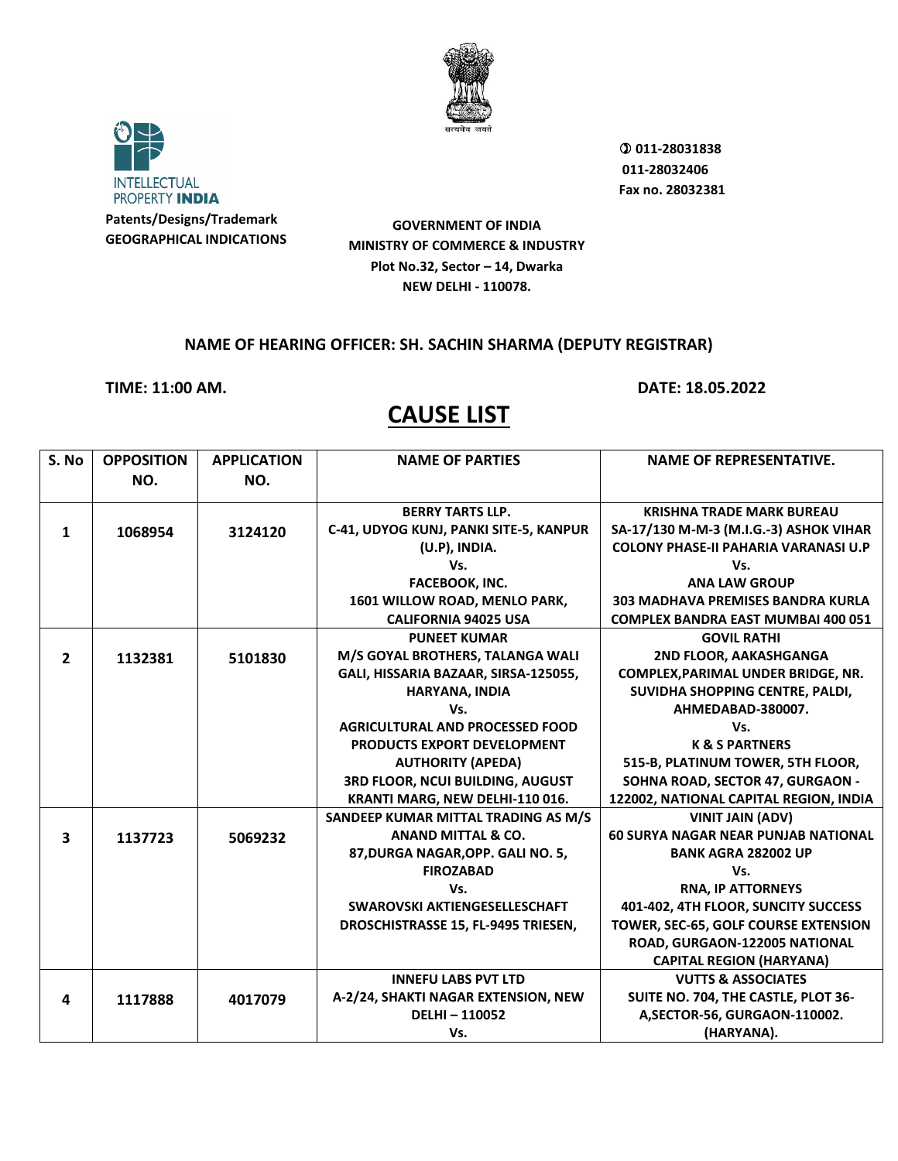



 **011-28031838 011-28032406 Fax no. 28032381**

**GOVERNMENT OF INDIA MINISTRY OF COMMERCE & INDUSTRY Plot No.32, Sector – 14, Dwarka NEW DELHI - 110078.**

#### **NAME OF HEARING OFFICER: SH. SACHIN SHARMA (DEPUTY REGISTRAR)**

**TIME: 11:00 AM. DATE: 18.05.2022**

| S. No                   | <b>OPPOSITION</b> | <b>APPLICATION</b> | <b>NAME OF PARTIES</b>                 | <b>NAME OF REPRESENTATIVE.</b>              |
|-------------------------|-------------------|--------------------|----------------------------------------|---------------------------------------------|
|                         | NO.               | NO.                |                                        |                                             |
|                         |                   |                    |                                        |                                             |
|                         |                   |                    | <b>BERRY TARTS LLP.</b>                | <b>KRISHNA TRADE MARK BUREAU</b>            |
| 1                       | 1068954           | 3124120            | C-41, UDYOG KUNJ, PANKI SITE-5, KANPUR | SA-17/130 M-M-3 (M.I.G.-3) ASHOK VIHAR      |
|                         |                   |                    | (U.P), INDIA.                          | <b>COLONY PHASE-II PAHARIA VARANASI U.P</b> |
|                         |                   |                    | Vs.                                    | Vs.                                         |
|                         |                   |                    | FACEBOOK, INC.                         | <b>ANA LAW GROUP</b>                        |
|                         |                   |                    | 1601 WILLOW ROAD, MENLO PARK,          | 303 MADHAVA PREMISES BANDRA KURLA           |
|                         |                   |                    | <b>CALIFORNIA 94025 USA</b>            | <b>COMPLEX BANDRA EAST MUMBAI 400 051</b>   |
|                         |                   |                    | <b>PUNEET KUMAR</b>                    | <b>GOVIL RATHI</b>                          |
| $\overline{2}$          | 1132381           | 5101830            | M/S GOYAL BROTHERS, TALANGA WALI       | 2ND FLOOR, AAKASHGANGA                      |
|                         |                   |                    | GALI, HISSARIA BAZAAR, SIRSA-125055,   | COMPLEX, PARIMAL UNDER BRIDGE, NR.          |
|                         |                   |                    | HARYANA, INDIA                         | SUVIDHA SHOPPING CENTRE, PALDI,             |
|                         |                   |                    | Vs.                                    | AHMEDABAD-380007.                           |
|                         |                   |                    | <b>AGRICULTURAL AND PROCESSED FOOD</b> | Vs.                                         |
|                         |                   |                    | PRODUCTS EXPORT DEVELOPMENT            | <b>K &amp; S PARTNERS</b>                   |
|                         |                   |                    | <b>AUTHORITY (APEDA)</b>               | 515-B, PLATINUM TOWER, 5TH FLOOR,           |
|                         |                   |                    | 3RD FLOOR, NCUI BUILDING, AUGUST       | SOHNA ROAD, SECTOR 47, GURGAON -            |
|                         |                   |                    | KRANTI MARG, NEW DELHI-110 016.        | 122002, NATIONAL CAPITAL REGION, INDIA      |
|                         |                   |                    | SANDEEP KUMAR MITTAL TRADING AS M/S    | <b>VINIT JAIN (ADV)</b>                     |
| $\overline{\mathbf{3}}$ | 1137723           | 5069232            | <b>ANAND MITTAL &amp; CO.</b>          | <b>60 SURYA NAGAR NEAR PUNJAB NATIONAL</b>  |
|                         |                   |                    | 87, DURGA NAGAR, OPP. GALI NO. 5,      | <b>BANK AGRA 282002 UP</b>                  |
|                         |                   |                    | <b>FIROZABAD</b>                       | Vs.                                         |
|                         |                   |                    | Vs.                                    | <b>RNA, IP ATTORNEYS</b>                    |
|                         |                   |                    | SWAROVSKI AKTIENGESELLESCHAFT          | 401-402, 4TH FLOOR, SUNCITY SUCCESS         |
|                         |                   |                    | DROSCHISTRASSE 15, FL-9495 TRIESEN,    | TOWER, SEC-65, GOLF COURSE EXTENSION        |
|                         |                   |                    |                                        | ROAD, GURGAON-122005 NATIONAL               |
|                         |                   |                    |                                        | <b>CAPITAL REGION (HARYANA)</b>             |
|                         |                   |                    | <b>INNEFU LABS PVT LTD</b>             | <b>VUTTS &amp; ASSOCIATES</b>               |
| 4                       | 1117888           | 4017079            | A-2/24, SHAKTI NAGAR EXTENSION, NEW    | SUITE NO. 704, THE CASTLE, PLOT 36-         |
|                         |                   |                    | <b>DELHI-110052</b>                    | A, SECTOR-56, GURGAON-110002.               |
|                         |                   |                    | Vs.                                    | (HARYANA).                                  |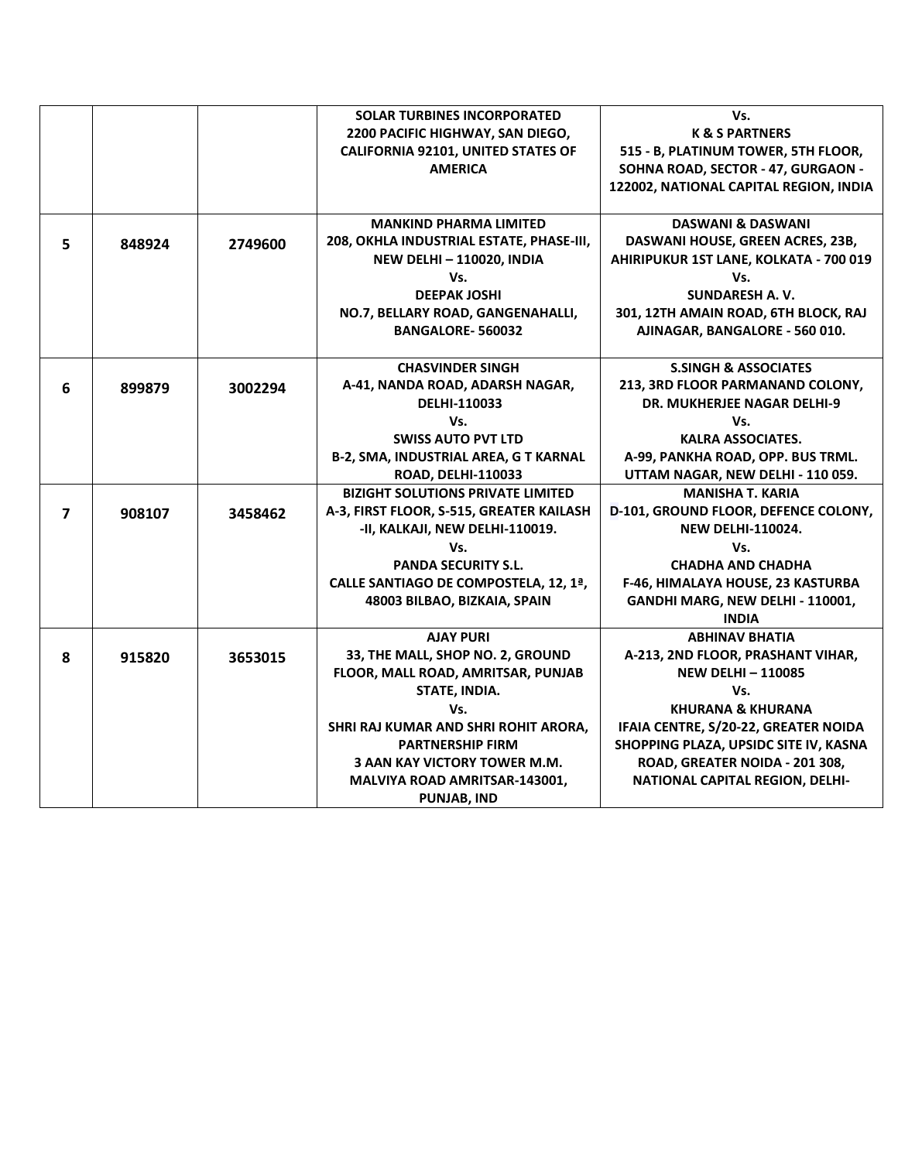|                |        |         | <b>SOLAR TURBINES INCORPORATED</b>           | Vs.                                    |
|----------------|--------|---------|----------------------------------------------|----------------------------------------|
|                |        |         | 2200 PACIFIC HIGHWAY, SAN DIEGO,             | <b>K &amp; S PARTNERS</b>              |
|                |        |         | <b>CALIFORNIA 92101, UNITED STATES OF</b>    | 515 - B, PLATINUM TOWER, 5TH FLOOR,    |
|                |        |         | <b>AMERICA</b>                               | SOHNA ROAD, SECTOR - 47, GURGAON -     |
|                |        |         |                                              | 122002, NATIONAL CAPITAL REGION, INDIA |
|                |        |         |                                              |                                        |
|                |        |         | <b>MANKIND PHARMA LIMITED</b>                | <b>DASWANI &amp; DASWANI</b>           |
| 5              | 848924 | 2749600 | 208, OKHLA INDUSTRIAL ESTATE, PHASE-III,     | DASWANI HOUSE, GREEN ACRES, 23B,       |
|                |        |         | <b>NEW DELHI-110020, INDIA</b>               | AHIRIPUKUR 1ST LANE, KOLKATA - 700 019 |
|                |        |         | Vs.                                          | Vs.                                    |
|                |        |         | <b>DEEPAK JOSHI</b>                          | <b>SUNDARESH A.V.</b>                  |
|                |        |         | NO.7, BELLARY ROAD, GANGENAHALLI,            | 301, 12TH AMAIN ROAD, 6TH BLOCK, RAJ   |
|                |        |         | <b>BANGALORE-560032</b>                      | AJINAGAR, BANGALORE - 560 010.         |
|                |        |         |                                              |                                        |
|                |        |         | <b>CHASVINDER SINGH</b>                      | <b>S.SINGH &amp; ASSOCIATES</b>        |
| 6              | 899879 | 3002294 | A-41, NANDA ROAD, ADARSH NAGAR,              | 213, 3RD FLOOR PARMANAND COLONY,       |
|                |        |         | DELHI-110033                                 | <b>DR. MUKHERJEE NAGAR DELHI-9</b>     |
|                |        |         | Vs.                                          | Vs.                                    |
|                |        |         | <b>SWISS AUTO PVT LTD</b>                    | <b>KALRA ASSOCIATES.</b>               |
|                |        |         | <b>B-2, SMA, INDUSTRIAL AREA, G T KARNAL</b> | A-99, PANKHA ROAD, OPP. BUS TRML.      |
|                |        |         | <b>ROAD, DELHI-110033</b>                    | UTTAM NAGAR, NEW DELHI - 110 059.      |
|                |        |         | <b>BIZIGHT SOLUTIONS PRIVATE LIMITED</b>     | <b>MANISHA T. KARIA</b>                |
| $\overline{7}$ | 908107 | 3458462 | A-3, FIRST FLOOR, S-515, GREATER KAILASH     | D-101, GROUND FLOOR, DEFENCE COLONY,   |
|                |        |         | -II, KALKAJI, NEW DELHI-110019.              | <b>NEW DELHI-110024.</b>               |
|                |        |         | Vs.                                          | Vs.                                    |
|                |        |         | <b>PANDA SECURITY S.L.</b>                   | <b>CHADHA AND CHADHA</b>               |
|                |        |         | CALLE SANTIAGO DE COMPOSTELA, 12, 1ª,        | F-46, HIMALAYA HOUSE, 23 KASTURBA      |
|                |        |         | 48003 BILBAO, BIZKAIA, SPAIN                 | GANDHI MARG, NEW DELHI - 110001,       |
|                |        |         |                                              | <b>INDIA</b>                           |
|                |        |         | <b>AJAY PURI</b>                             | <b>ABHINAV BHATIA</b>                  |
| 8              | 915820 | 3653015 | 33, THE MALL, SHOP NO. 2, GROUND             | A-213, 2ND FLOOR, PRASHANT VIHAR,      |
|                |        |         | FLOOR, MALL ROAD, AMRITSAR, PUNJAB           | <b>NEW DELHI-110085</b>                |
|                |        |         | STATE, INDIA.                                | Vs.                                    |
|                |        |         | Vs.                                          | <b>KHURANA &amp; KHURANA</b>           |
|                |        |         | SHRI RAJ KUMAR AND SHRI ROHIT ARORA,         | IFAIA CENTRE, S/20-22, GREATER NOIDA   |
|                |        |         | <b>PARTNERSHIP FIRM</b>                      | SHOPPING PLAZA, UPSIDC SITE IV, KASNA  |
|                |        |         | 3 AAN KAY VICTORY TOWER M.M.                 | ROAD, GREATER NOIDA - 201 308,         |
|                |        |         | MALVIYA ROAD AMRITSAR-143001,                | NATIONAL CAPITAL REGION, DELHI-        |
|                |        |         | <b>PUNJAB, IND</b>                           |                                        |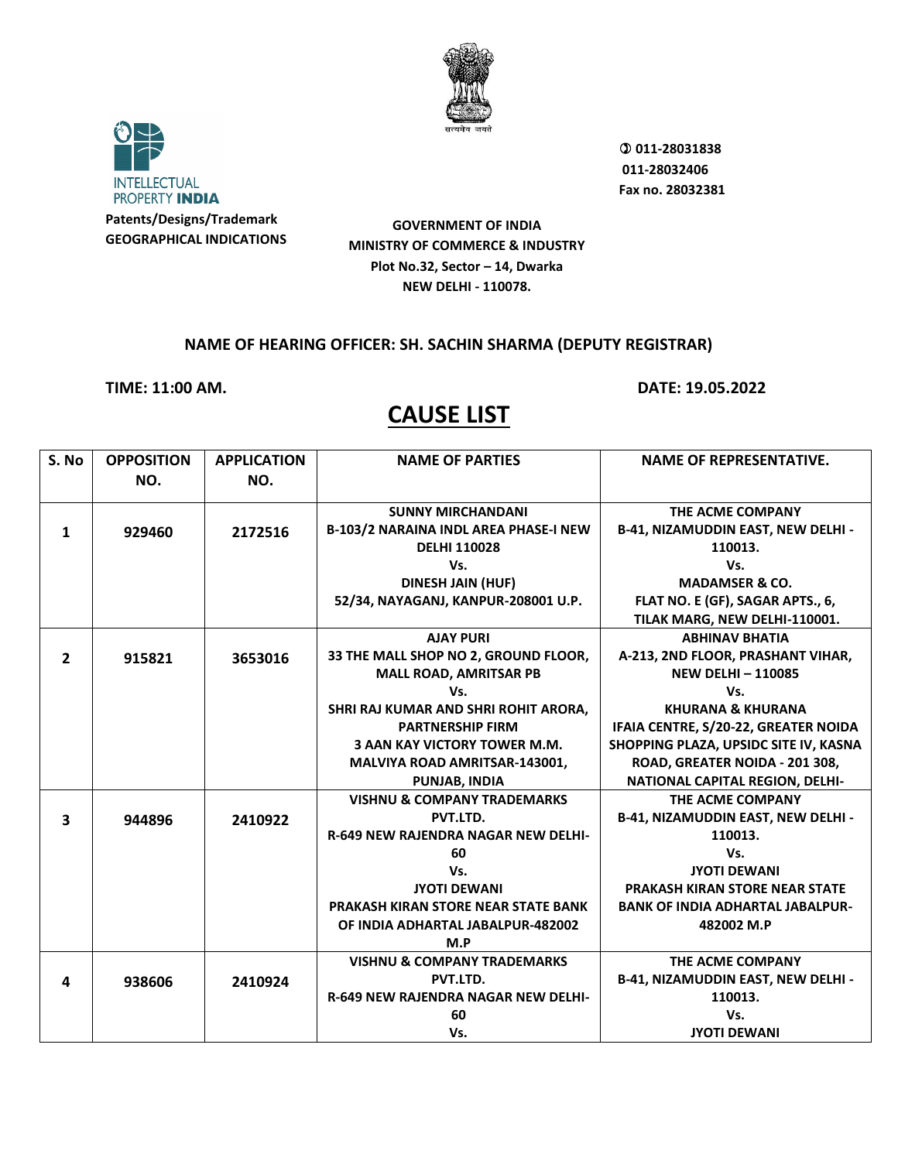



 **011-28031838 011-28032406 Fax no. 28032381**

**GOVERNMENT OF INDIA MINISTRY OF COMMERCE & INDUSTRY Plot No.32, Sector – 14, Dwarka NEW DELHI - 110078.**

#### **NAME OF HEARING OFFICER: SH. SACHIN SHARMA (DEPUTY REGISTRAR)**

**TIME: 11:00 AM. DATE: 19.05.2022**

| S. No          | <b>OPPOSITION</b> | <b>APPLICATION</b> | <b>NAME OF PARTIES</b>                       | <b>NAME OF REPRESENTATIVE.</b>            |
|----------------|-------------------|--------------------|----------------------------------------------|-------------------------------------------|
|                | NO.               | NO.                |                                              |                                           |
|                |                   |                    |                                              |                                           |
|                |                   |                    | <b>SUNNY MIRCHANDANI</b>                     | THE ACME COMPANY                          |
| 1              | 929460            | 2172516            | <b>B-103/2 NARAINA INDL AREA PHASE-I NEW</b> | B-41, NIZAMUDDIN EAST, NEW DELHI -        |
|                |                   |                    | <b>DELHI 110028</b>                          | 110013.                                   |
|                |                   |                    | Vs.                                          | Vs.                                       |
|                |                   |                    | <b>DINESH JAIN (HUF)</b>                     | <b>MADAMSER &amp; CO.</b>                 |
|                |                   |                    | 52/34, NAYAGANJ, KANPUR-208001 U.P.          | FLAT NO. E (GF), SAGAR APTS., 6,          |
|                |                   |                    |                                              | TILAK MARG, NEW DELHI-110001.             |
|                |                   |                    | <b>AJAY PURI</b>                             | <b>ABHINAV BHATIA</b>                     |
| $\overline{2}$ | 915821            | 3653016            | 33 THE MALL SHOP NO 2, GROUND FLOOR,         | A-213, 2ND FLOOR, PRASHANT VIHAR,         |
|                |                   |                    | <b>MALL ROAD, AMRITSAR PB</b>                | <b>NEW DELHI-110085</b>                   |
|                |                   |                    | Vs.                                          | Vs.                                       |
|                |                   |                    | SHRI RAJ KUMAR AND SHRI ROHIT ARORA,         | <b>KHURANA &amp; KHURANA</b>              |
|                |                   |                    | <b>PARTNERSHIP FIRM</b>                      | IFAIA CENTRE, S/20-22, GREATER NOIDA      |
|                |                   |                    | <b>3 AAN KAY VICTORY TOWER M.M.</b>          | SHOPPING PLAZA, UPSIDC SITE IV, KASNA     |
|                |                   |                    | <b>MALVIYA ROAD AMRITSAR-143001,</b>         | ROAD, GREATER NOIDA - 201 308,            |
|                |                   |                    | <b>PUNJAB, INDIA</b>                         | NATIONAL CAPITAL REGION, DELHI-           |
|                |                   |                    | <b>VISHNU &amp; COMPANY TRADEMARKS</b>       | THE ACME COMPANY                          |
| 3              | 944896            | 2410922            | PVT.LTD.                                     | <b>B-41, NIZAMUDDIN EAST, NEW DELHI -</b> |
|                |                   |                    | <b>R-649 NEW RAJENDRA NAGAR NEW DELHI-</b>   | 110013.                                   |
|                |                   |                    | 60                                           | Vs.                                       |
|                |                   |                    | Vs.                                          | <b>JYOTI DEWANI</b>                       |
|                |                   |                    | <b>JYOTI DEWANI</b>                          | PRAKASH KIRAN STORE NEAR STATE            |
|                |                   |                    | PRAKASH KIRAN STORE NEAR STATE BANK          | <b>BANK OF INDIA ADHARTAL JABALPUR-</b>   |
|                |                   |                    | OF INDIA ADHARTAL JABALPUR-482002            | 482002 M.P                                |
|                |                   |                    | M.P                                          |                                           |
|                |                   |                    | <b>VISHNU &amp; COMPANY TRADEMARKS</b>       | THE ACME COMPANY                          |
| 4              | 938606            | 2410924            | PVT.LTD.                                     | <b>B-41, NIZAMUDDIN EAST, NEW DELHI -</b> |
|                |                   |                    | <b>R-649 NEW RAJENDRA NAGAR NEW DELHI-</b>   | 110013.                                   |
|                |                   |                    | 60                                           | Vs.                                       |
|                |                   |                    | Vs.                                          | <b>JYOTI DEWANI</b>                       |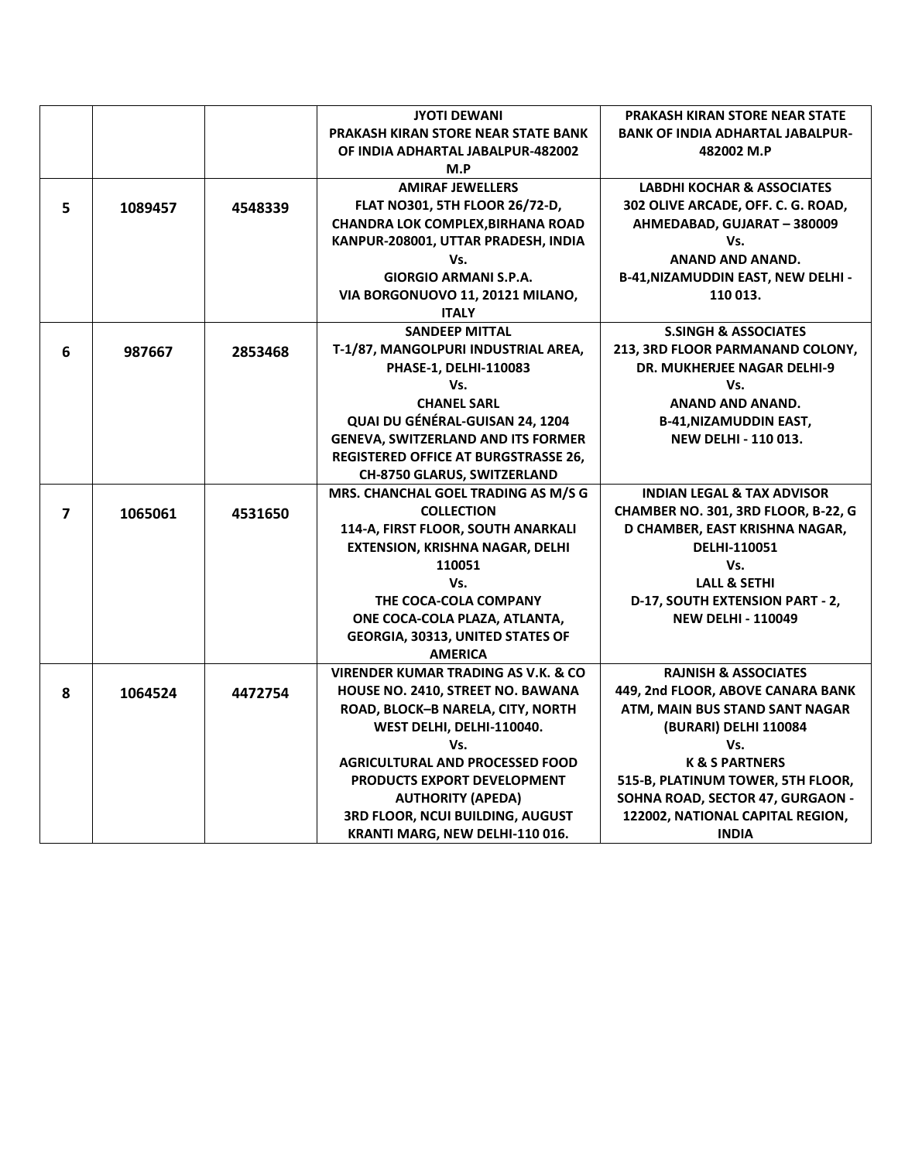|                         |         |         | <b>JYOTI DEWANI</b>                            | <b>PRAKASH KIRAN STORE NEAR STATE</b>     |
|-------------------------|---------|---------|------------------------------------------------|-------------------------------------------|
|                         |         |         | <b>PRAKASH KIRAN STORE NEAR STATE BANK</b>     | <b>BANK OF INDIA ADHARTAL JABALPUR-</b>   |
|                         |         |         | OF INDIA ADHARTAL JABALPUR-482002              | 482002 M.P                                |
|                         |         |         | M.P                                            |                                           |
|                         |         |         | <b>AMIRAF JEWELLERS</b>                        | <b>LABDHI KOCHAR &amp; ASSOCIATES</b>     |
| 5                       | 1089457 | 4548339 | FLAT NO301, 5TH FLOOR 26/72-D,                 | 302 OLIVE ARCADE, OFF. C. G. ROAD,        |
|                         |         |         | <b>CHANDRA LOK COMPLEX, BIRHANA ROAD</b>       | AHMEDABAD, GUJARAT - 380009               |
|                         |         |         | KANPUR-208001, UTTAR PRADESH, INDIA            | Vs.                                       |
|                         |         |         | Vs.                                            | ANAND AND ANAND.                          |
|                         |         |         | <b>GIORGIO ARMANI S.P.A.</b>                   | <b>B-41, NIZAMUDDIN EAST, NEW DELHI -</b> |
|                         |         |         | VIA BORGONUOVO 11, 20121 MILANO,               | 110 013.                                  |
|                         |         |         | <b>ITALY</b>                                   |                                           |
|                         |         |         | <b>SANDEEP MITTAL</b>                          | <b>S.SINGH &amp; ASSOCIATES</b>           |
| 6                       | 987667  | 2853468 | T-1/87, MANGOLPURI INDUSTRIAL AREA,            | 213, 3RD FLOOR PARMANAND COLONY,          |
|                         |         |         | PHASE-1, DELHI-110083                          | <b>DR. MUKHERJEE NAGAR DELHI-9</b>        |
|                         |         |         | Vs.                                            | Vs.                                       |
|                         |         |         | <b>CHANEL SARL</b>                             | <b>ANAND AND ANAND.</b>                   |
|                         |         |         | QUAI DU GÉNÉRAL-GUISAN 24, 1204                | <b>B-41, NIZAMUDDIN EAST,</b>             |
|                         |         |         | <b>GENEVA, SWITZERLAND AND ITS FORMER</b>      | <b>NEW DELHI - 110 013.</b>               |
|                         |         |         | <b>REGISTERED OFFICE AT BURGSTRASSE 26,</b>    |                                           |
|                         |         |         | CH-8750 GLARUS, SWITZERLAND                    |                                           |
|                         |         |         | MRS. CHANCHAL GOEL TRADING AS M/S G            | <b>INDIAN LEGAL &amp; TAX ADVISOR</b>     |
| $\overline{\mathbf{z}}$ | 1065061 | 4531650 | <b>COLLECTION</b>                              | CHAMBER NO. 301, 3RD FLOOR, B-22, G       |
|                         |         |         | 114-A, FIRST FLOOR, SOUTH ANARKALI             | D CHAMBER, EAST KRISHNA NAGAR,            |
|                         |         |         | <b>EXTENSION, KRISHNA NAGAR, DELHI</b>         | DELHI-110051                              |
|                         |         |         | 110051                                         | Vs.                                       |
|                         |         |         | Vs.                                            | <b>LALL &amp; SETHI</b>                   |
|                         |         |         | THE COCA-COLA COMPANY                          | D-17, SOUTH EXTENSION PART - 2,           |
|                         |         |         | ONE COCA-COLA PLAZA, ATLANTA,                  | <b>NEW DELHI - 110049</b>                 |
|                         |         |         | <b>GEORGIA, 30313, UNITED STATES OF</b>        |                                           |
|                         |         |         | <b>AMERICA</b>                                 |                                           |
|                         |         |         | <b>VIRENDER KUMAR TRADING AS V.K. &amp; CO</b> | <b>RAJNISH &amp; ASSOCIATES</b>           |
| 8                       | 1064524 | 4472754 | <b>HOUSE NO. 2410, STREET NO. BAWANA</b>       | 449, 2nd FLOOR, ABOVE CANARA BANK         |
|                         |         |         | ROAD, BLOCK-B NARELA, CITY, NORTH              | ATM, MAIN BUS STAND SANT NAGAR            |
|                         |         |         | WEST DELHI, DELHI-110040.                      | (BURARI) DELHI 110084                     |
|                         |         |         | Vs.                                            | Vs.                                       |
|                         |         |         | <b>AGRICULTURAL AND PROCESSED FOOD</b>         | <b>K &amp; S PARTNERS</b>                 |
|                         |         |         | PRODUCTS EXPORT DEVELOPMENT                    | 515-B, PLATINUM TOWER, 5TH FLOOR,         |
|                         |         |         | <b>AUTHORITY (APEDA)</b>                       | SOHNA ROAD, SECTOR 47, GURGAON -          |
|                         |         |         | 3RD FLOOR, NCUI BUILDING, AUGUST               | 122002, NATIONAL CAPITAL REGION,          |
|                         |         |         | KRANTI MARG, NEW DELHI-110 016.                | <b>INDIA</b>                              |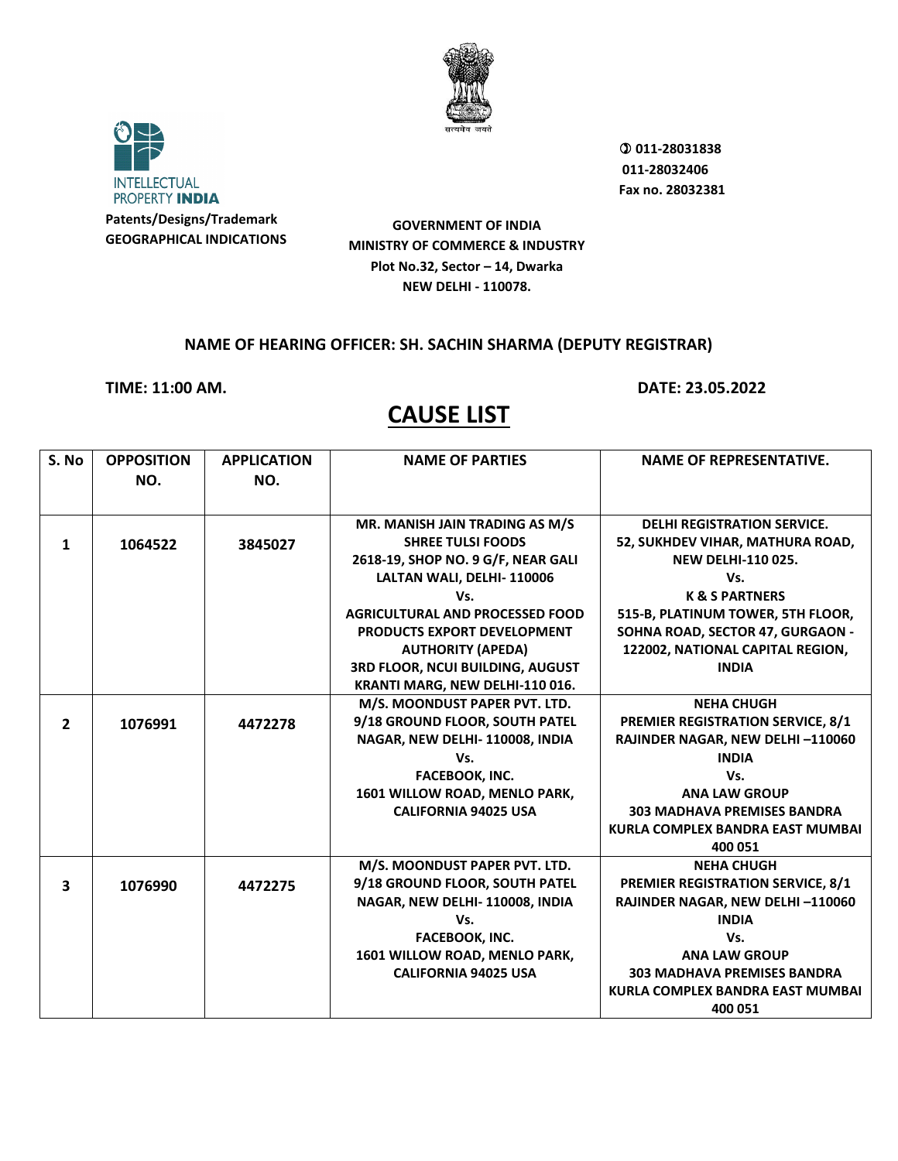



 **011-28031838 011-28032406 Fax no. 28032381**

**GOVERNMENT OF INDIA MINISTRY OF COMMERCE & INDUSTRY Plot No.32, Sector – 14, Dwarka NEW DELHI - 110078.**

#### **NAME OF HEARING OFFICER: SH. SACHIN SHARMA (DEPUTY REGISTRAR)**

**TIME: 11:00 AM. DATE: 23.05.2022**

| S. No                   | <b>OPPOSITION</b> | <b>APPLICATION</b> | <b>NAME OF PARTIES</b>                 | <b>NAME OF REPRESENTATIVE.</b>           |
|-------------------------|-------------------|--------------------|----------------------------------------|------------------------------------------|
|                         | NO.               | NO.                |                                        |                                          |
|                         |                   |                    |                                        |                                          |
|                         |                   |                    | MR. MANISH JAIN TRADING AS M/S         | <b>DELHI REGISTRATION SERVICE.</b>       |
| 1                       | 1064522           | 3845027            | <b>SHREE TULSI FOODS</b>               | 52, SUKHDEV VIHAR, MATHURA ROAD,         |
|                         |                   |                    | 2618-19, SHOP NO. 9 G/F, NEAR GALI     | <b>NEW DELHI-110 025.</b>                |
|                         |                   |                    | LALTAN WALI, DELHI-110006              | Vs.                                      |
|                         |                   |                    | Vs.                                    | <b>K &amp; S PARTNERS</b>                |
|                         |                   |                    | <b>AGRICULTURAL AND PROCESSED FOOD</b> | 515-B, PLATINUM TOWER, 5TH FLOOR,        |
|                         |                   |                    | PRODUCTS EXPORT DEVELOPMENT            | SOHNA ROAD, SECTOR 47, GURGAON -         |
|                         |                   |                    | <b>AUTHORITY (APEDA)</b>               | 122002, NATIONAL CAPITAL REGION,         |
|                         |                   |                    | 3RD FLOOR, NCUI BUILDING, AUGUST       | <b>INDIA</b>                             |
|                         |                   |                    | KRANTI MARG, NEW DELHI-110 016.        |                                          |
|                         |                   |                    | M/S. MOONDUST PAPER PVT. LTD.          | <b>NEHA CHUGH</b>                        |
| $\overline{2}$          | 1076991           | 4472278            | 9/18 GROUND FLOOR, SOUTH PATEL         | <b>PREMIER REGISTRATION SERVICE, 8/1</b> |
|                         |                   |                    | NAGAR, NEW DELHI-110008, INDIA         | RAJINDER NAGAR, NEW DELHI-110060         |
|                         |                   |                    | Vs.                                    | <b>INDIA</b>                             |
|                         |                   |                    | <b>FACEBOOK, INC.</b>                  | Vs.                                      |
|                         |                   |                    | 1601 WILLOW ROAD, MENLO PARK,          | <b>ANA LAW GROUP</b>                     |
|                         |                   |                    | <b>CALIFORNIA 94025 USA</b>            | <b>303 MADHAVA PREMISES BANDRA</b>       |
|                         |                   |                    |                                        | KURLA COMPLEX BANDRA EAST MUMBAI         |
|                         |                   |                    |                                        | 400 051                                  |
|                         |                   |                    | M/S. MOONDUST PAPER PVT. LTD.          | <b>NEHA CHUGH</b>                        |
| $\overline{\mathbf{3}}$ | 1076990           | 4472275            | 9/18 GROUND FLOOR, SOUTH PATEL         | <b>PREMIER REGISTRATION SERVICE, 8/1</b> |
|                         |                   |                    | NAGAR, NEW DELHI-110008, INDIA         | RAJINDER NAGAR, NEW DELHI-110060         |
|                         |                   |                    | Vs.                                    | <b>INDIA</b>                             |
|                         |                   |                    | <b>FACEBOOK, INC.</b>                  | Vs.                                      |
|                         |                   |                    | 1601 WILLOW ROAD, MENLO PARK,          | <b>ANA LAW GROUP</b>                     |
|                         |                   |                    | <b>CALIFORNIA 94025 USA</b>            | <b>303 MADHAVA PREMISES BANDRA</b>       |
|                         |                   |                    |                                        | KURLA COMPLEX BANDRA EAST MUMBAI         |
|                         |                   |                    |                                        | 400 051                                  |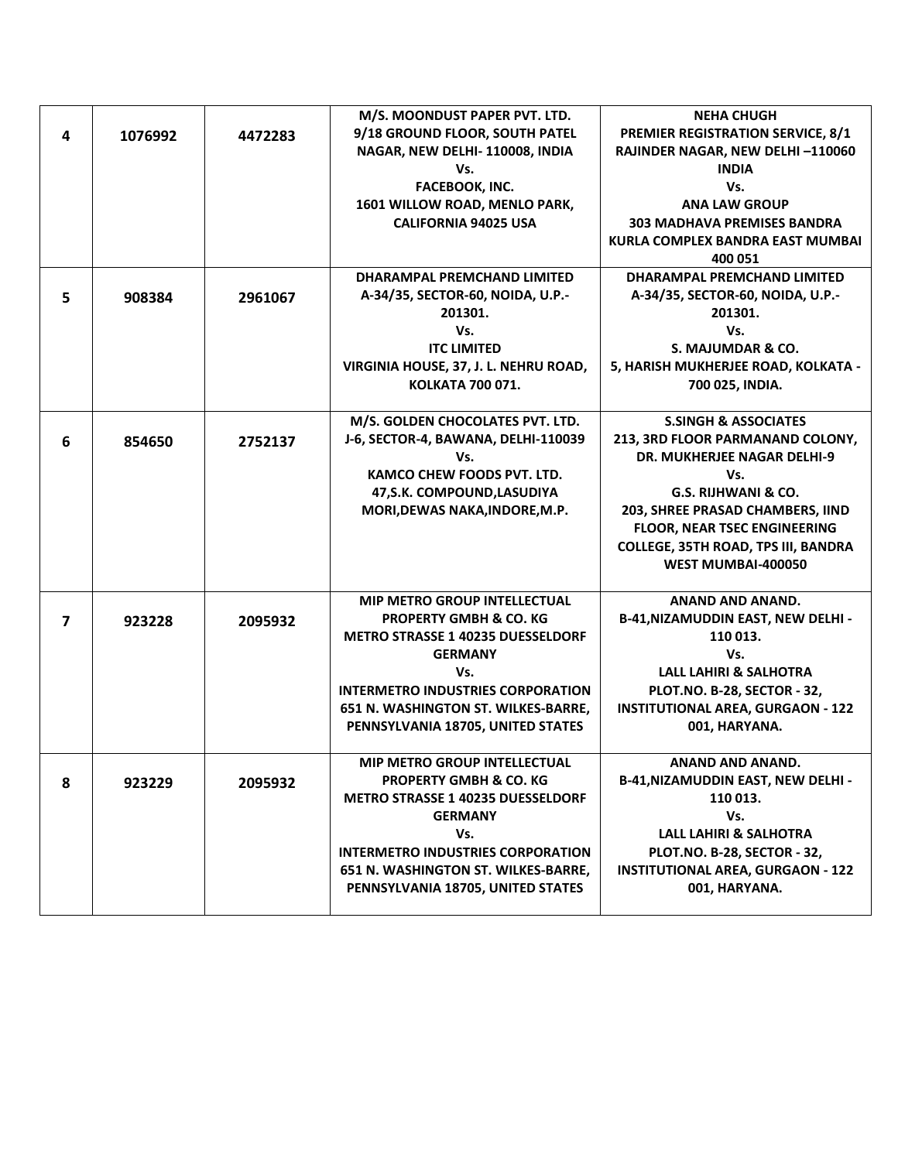|                |         |         | M/S. MOONDUST PAPER PVT. LTD.                                                 | <b>NEHA CHUGH</b>                                     |
|----------------|---------|---------|-------------------------------------------------------------------------------|-------------------------------------------------------|
| 4              | 1076992 | 4472283 | 9/18 GROUND FLOOR, SOUTH PATEL                                                | <b>PREMIER REGISTRATION SERVICE, 8/1</b>              |
|                |         |         | NAGAR, NEW DELHI-110008, INDIA                                                | RAJINDER NAGAR, NEW DELHI-110060                      |
|                |         |         | Vs.                                                                           | <b>INDIA</b>                                          |
|                |         |         | <b>FACEBOOK, INC.</b>                                                         | Vs.                                                   |
|                |         |         | 1601 WILLOW ROAD, MENLO PARK,                                                 | <b>ANA LAW GROUP</b>                                  |
|                |         |         | <b>CALIFORNIA 94025 USA</b>                                                   | <b>303 MADHAVA PREMISES BANDRA</b>                    |
|                |         |         |                                                                               | KURLA COMPLEX BANDRA EAST MUMBAI                      |
|                |         |         |                                                                               | 400 051                                               |
|                |         |         | <b>DHARAMPAL PREMCHAND LIMITED</b>                                            | <b>DHARAMPAL PREMCHAND LIMITED</b>                    |
| 5              | 908384  | 2961067 | A-34/35, SECTOR-60, NOIDA, U.P.-                                              | A-34/35, SECTOR-60, NOIDA, U.P.-                      |
|                |         |         | 201301.                                                                       | 201301.                                               |
|                |         |         | Vs.                                                                           | Vs.                                                   |
|                |         |         | <b>ITC LIMITED</b>                                                            | S. MAJUMDAR & CO.                                     |
|                |         |         | VIRGINIA HOUSE, 37, J. L. NEHRU ROAD,                                         | 5, HARISH MUKHERJEE ROAD, KOLKATA -                   |
|                |         |         | <b>KOLKATA 700 071.</b>                                                       | 700 025, INDIA.                                       |
|                |         |         |                                                                               |                                                       |
|                |         |         | M/S. GOLDEN CHOCOLATES PVT. LTD.                                              | <b>S.SINGH &amp; ASSOCIATES</b>                       |
| 6              | 854650  | 2752137 | J-6, SECTOR-4, BAWANA, DELHI-110039                                           | 213, 3RD FLOOR PARMANAND COLONY,                      |
|                |         |         | Vs.                                                                           | <b>DR. MUKHERJEE NAGAR DELHI-9</b>                    |
|                |         |         | <b>KAMCO CHEW FOODS PVT. LTD.</b>                                             | Vs.                                                   |
|                |         |         | 47, S.K. COMPOUND, LASUDIYA                                                   | G.S. RIJHWANI & CO.                                   |
|                |         |         | MORI, DEWAS NAKA, INDORE, M.P.                                                | 203, SHREE PRASAD CHAMBERS, IIND                      |
|                |         |         |                                                                               | <b>FLOOR, NEAR TSEC ENGINEERING</b>                   |
|                |         |         |                                                                               | COLLEGE, 35TH ROAD, TPS III, BANDRA                   |
|                |         |         |                                                                               | WEST MUMBAI-400050                                    |
|                |         |         |                                                                               |                                                       |
|                |         |         | <b>MIP METRO GROUP INTELLECTUAL</b>                                           | ANAND AND ANAND.                                      |
| $\overline{7}$ | 923228  | 2095932 | <b>PROPERTY GMBH &amp; CO. KG</b><br><b>METRO STRASSE 1 40235 DUESSELDORF</b> | <b>B-41, NIZAMUDDIN EAST, NEW DELHI -</b><br>110 013. |
|                |         |         | <b>GERMANY</b>                                                                | Vs.                                                   |
|                |         |         | Vs.                                                                           | <b>LALL LAHIRI &amp; SALHOTRA</b>                     |
|                |         |         | <b>INTERMETRO INDUSTRIES CORPORATION</b>                                      | PLOT.NO. B-28, SECTOR - 32,                           |
|                |         |         | 651 N. WASHINGTON ST. WILKES-BARRE,                                           | <b>INSTITUTIONAL AREA, GURGAON - 122</b>              |
|                |         |         | PENNSYLVANIA 18705, UNITED STATES                                             | 001, HARYANA.                                         |
|                |         |         |                                                                               |                                                       |
|                |         |         | <b>MIP METRO GROUP INTELLECTUAL</b>                                           | ANAND AND ANAND.                                      |
| 8              | 923229  | 2095932 | <b>PROPERTY GMBH &amp; CO. KG</b>                                             | <b>B-41, NIZAMUDDIN EAST, NEW DELHI -</b>             |
|                |         |         | <b>METRO STRASSE 1 40235 DUESSELDORF</b>                                      | 110 013.                                              |
|                |         |         | <b>GERMANY</b>                                                                | Vs.                                                   |
|                |         |         | Vs.                                                                           | <b>LALL LAHIRI &amp; SALHOTRA</b>                     |
|                |         |         | <b>INTERMETRO INDUSTRIES CORPORATION</b>                                      | PLOT.NO. B-28, SECTOR - 32,                           |
|                |         |         | 651 N. WASHINGTON ST. WILKES-BARRE,                                           | <b>INSTITUTIONAL AREA, GURGAON - 122</b>              |
|                |         |         | PENNSYLVANIA 18705, UNITED STATES                                             | 001, HARYANA.                                         |
|                |         |         |                                                                               |                                                       |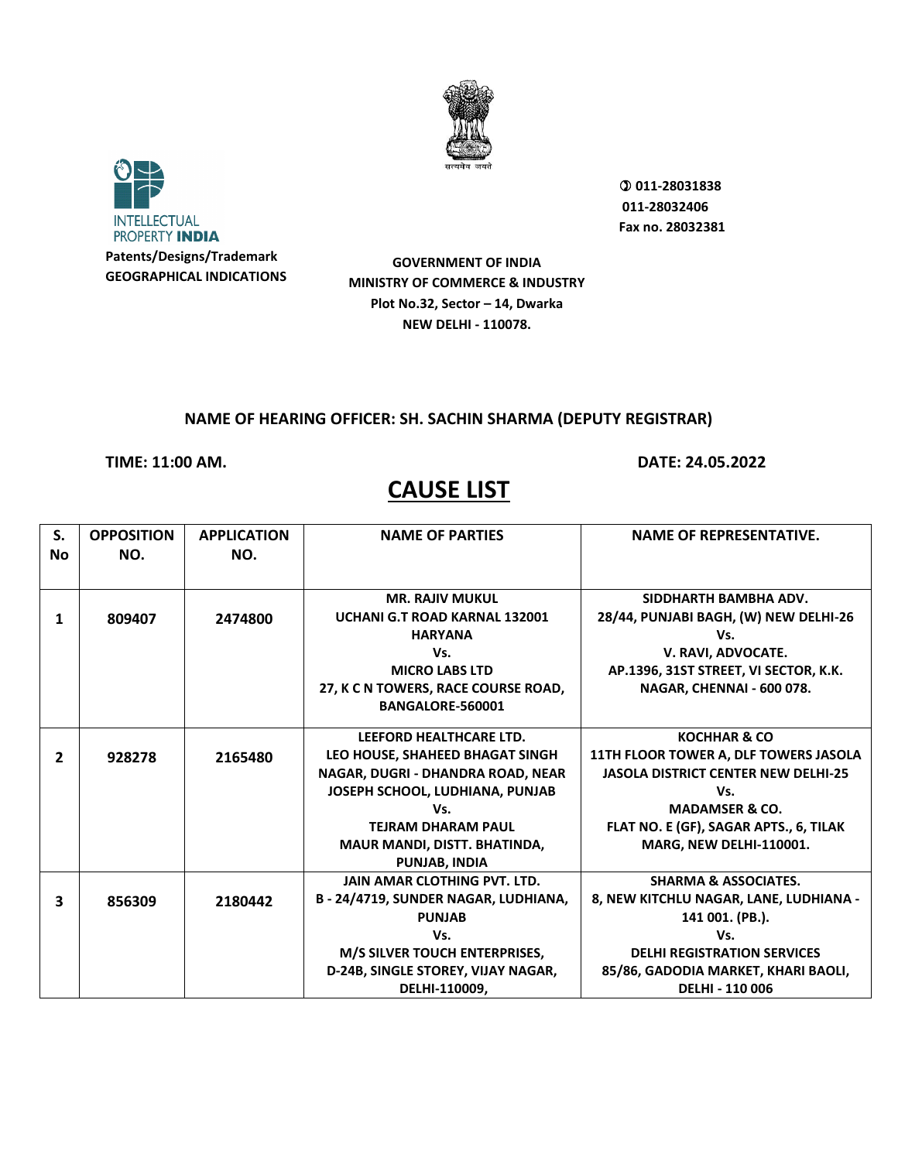



 **011-28031838 011-28032406 Fax no. 28032381**

**GOVERNMENT OF INDIA MINISTRY OF COMMERCE & INDUSTRY Plot No.32, Sector – 14, Dwarka NEW DELHI - 110078.**

### **NAME OF HEARING OFFICER: SH. SACHIN SHARMA (DEPUTY REGISTRAR)**

**TIME: 11:00 AM. DATE: 24.05.2022**

| S.<br><b>No</b> | <b>OPPOSITION</b><br>NO. | <b>APPLICATION</b><br>NO. | <b>NAME OF PARTIES</b>                                                                                                                                                 | <b>NAME OF REPRESENTATIVE.</b>                                                                                                                                                               |
|-----------------|--------------------------|---------------------------|------------------------------------------------------------------------------------------------------------------------------------------------------------------------|----------------------------------------------------------------------------------------------------------------------------------------------------------------------------------------------|
| 1               | 809407                   | 2474800                   | <b>MR. RAJIV MUKUL</b><br>UCHANI G.T ROAD KARNAL 132001<br><b>HARYANA</b>                                                                                              | SIDDHARTH BAMBHA ADV.<br>28/44, PUNJABI BAGH, (W) NEW DELHI-26<br>Vs.                                                                                                                        |
|                 |                          |                           | Vs.<br><b>MICRO LABS LTD</b><br>27, K C N TOWERS, RACE COURSE ROAD,<br>BANGALORE-560001                                                                                | V. RAVI, ADVOCATE.<br>AP.1396, 31ST STREET, VI SECTOR, K.K.<br>NAGAR, CHENNAI - 600 078.                                                                                                     |
| $\mathbf{2}$    | 928278                   | 2165480                   | LEEFORD HEALTHCARE LTD.<br>LEO HOUSE, SHAHEED BHAGAT SINGH<br>NAGAR, DUGRI - DHANDRA ROAD, NEAR<br>JOSEPH SCHOOL, LUDHIANA, PUNJAB<br>Vs.<br><b>TEJRAM DHARAM PAUL</b> | <b>KOCHHAR &amp; CO</b><br>11TH FLOOR TOWER A, DLF TOWERS JASOLA<br><b>JASOLA DISTRICT CENTER NEW DELHI-25</b><br>Vs.<br><b>MADAMSER &amp; CO.</b><br>FLAT NO. E (GF), SAGAR APTS., 6, TILAK |
|                 |                          |                           | MAUR MANDI, DISTT. BHATINDA,<br><b>PUNJAB, INDIA</b>                                                                                                                   | <b>MARG, NEW DELHI-110001.</b>                                                                                                                                                               |
| 3               | 856309                   | 2180442                   | <b>JAIN AMAR CLOTHING PVT. LTD.</b><br>B - 24/4719, SUNDER NAGAR, LUDHIANA,<br><b>PUNJAB</b>                                                                           | <b>SHARMA &amp; ASSOCIATES.</b><br>8, NEW KITCHLU NAGAR, LANE, LUDHIANA -<br>141 001. (PB.).                                                                                                 |
|                 |                          |                           | Vs.<br>M/S SILVER TOUCH ENTERPRISES,<br>D-24B, SINGLE STOREY, VIJAY NAGAR,<br>DELHI-110009,                                                                            | Vs.<br><b>DELHI REGISTRATION SERVICES</b><br>85/86, GADODIA MARKET, KHARI BAOLI,<br>DELHI - 110 006                                                                                          |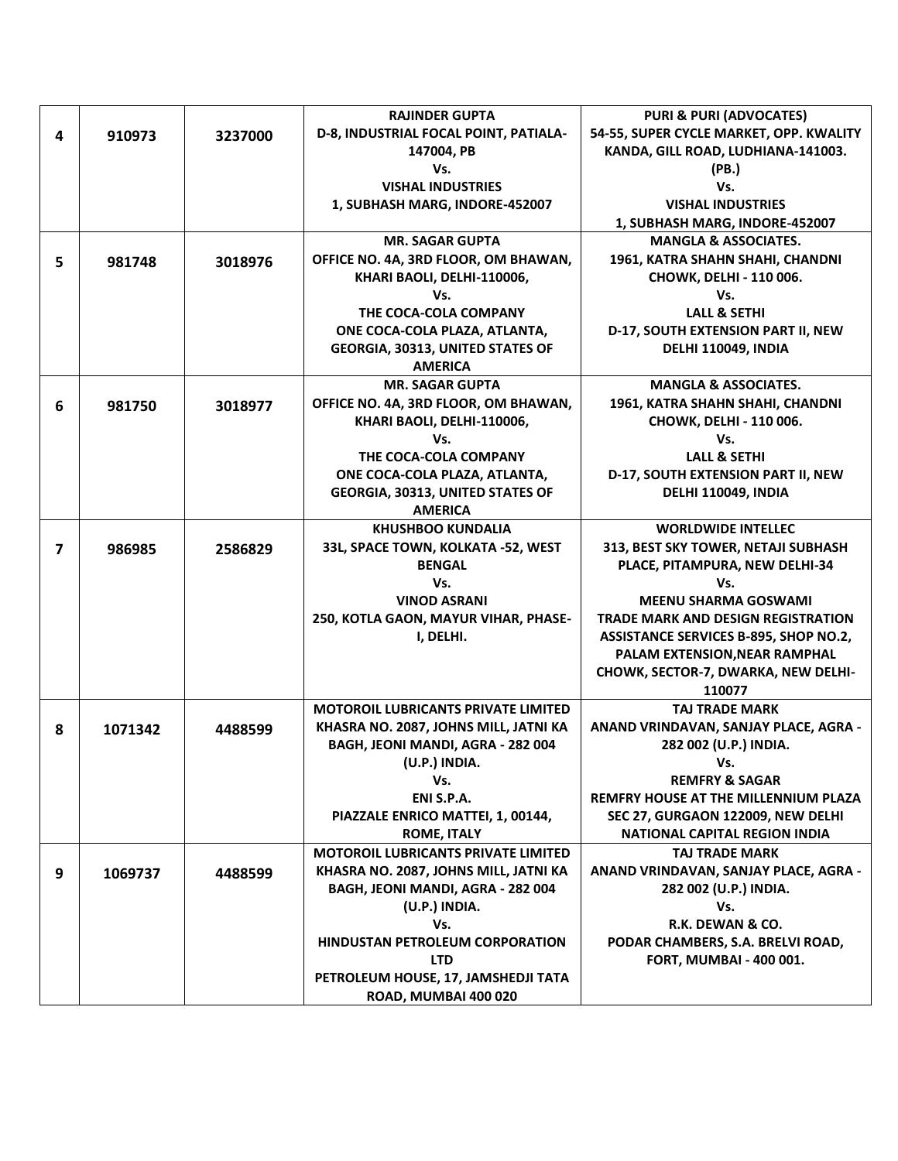|    |         |         | <b>RAJINDER GUPTA</b>                      | <b>PURI &amp; PURI (ADVOCATES)</b>          |
|----|---------|---------|--------------------------------------------|---------------------------------------------|
| 4  | 910973  | 3237000 | D-8, INDUSTRIAL FOCAL POINT, PATIALA-      | 54-55, SUPER CYCLE MARKET, OPP. KWALITY     |
|    |         |         | 147004, PB                                 | KANDA, GILL ROAD, LUDHIANA-141003.          |
|    |         |         | Vs.                                        | (PB.)                                       |
|    |         |         | <b>VISHAL INDUSTRIES</b>                   | Vs.                                         |
|    |         |         | 1, SUBHASH MARG, INDORE-452007             | <b>VISHAL INDUSTRIES</b>                    |
|    |         |         |                                            | 1, SUBHASH MARG, INDORE-452007              |
|    |         |         | <b>MR. SAGAR GUPTA</b>                     | <b>MANGLA &amp; ASSOCIATES.</b>             |
| 5. | 981748  | 3018976 | OFFICE NO. 4A, 3RD FLOOR, OM BHAWAN,       | 1961, KATRA SHAHN SHAHI, CHANDNI            |
|    |         |         | KHARI BAOLI, DELHI-110006,                 | CHOWK, DELHI - 110 006.                     |
|    |         |         | Vs.                                        | Vs.                                         |
|    |         |         | THE COCA-COLA COMPANY                      | <b>LALL &amp; SETHI</b>                     |
|    |         |         | ONE COCA-COLA PLAZA, ATLANTA,              | D-17, SOUTH EXTENSION PART II, NEW          |
|    |         |         | GEORGIA, 30313, UNITED STATES OF           | DELHI 110049, INDIA                         |
|    |         |         | <b>AMERICA</b>                             |                                             |
|    |         |         | <b>MR. SAGAR GUPTA</b>                     | <b>MANGLA &amp; ASSOCIATES.</b>             |
| 6  | 981750  | 3018977 | OFFICE NO. 4A, 3RD FLOOR, OM BHAWAN,       | 1961, KATRA SHAHN SHAHI, CHANDNI            |
|    |         |         | KHARI BAOLI, DELHI-110006,                 | CHOWK, DELHI - 110 006.                     |
|    |         |         | Vs.                                        | Vs.                                         |
|    |         |         | THE COCA-COLA COMPANY                      | <b>LALL &amp; SETHI</b>                     |
|    |         |         | ONE COCA-COLA PLAZA, ATLANTA,              | D-17, SOUTH EXTENSION PART II, NEW          |
|    |         |         | <b>GEORGIA, 30313, UNITED STATES OF</b>    | DELHI 110049, INDIA                         |
|    |         |         | <b>AMERICA</b>                             |                                             |
|    |         |         | <b>KHUSHBOO KUNDALIA</b>                   | <b>WORLDWIDE INTELLEC</b>                   |
| 7  | 986985  | 2586829 | 33L, SPACE TOWN, KOLKATA -52, WEST         | 313, BEST SKY TOWER, NETAJI SUBHASH         |
|    |         |         | <b>BENGAL</b>                              | PLACE, PITAMPURA, NEW DELHI-34              |
|    |         |         | Vs.                                        | Vs.                                         |
|    |         |         | <b>VINOD ASRANI</b>                        | <b>MEENU SHARMA GOSWAMI</b>                 |
|    |         |         | 250, KOTLA GAON, MAYUR VIHAR, PHASE-       | TRADE MARK AND DESIGN REGISTRATION          |
|    |         |         | I, DELHI.                                  | ASSISTANCE SERVICES B-895, SHOP NO.2,       |
|    |         |         |                                            | PALAM EXTENSION, NEAR RAMPHAL               |
|    |         |         |                                            | CHOWK, SECTOR-7, DWARKA, NEW DELHI-         |
|    |         |         |                                            | 110077                                      |
|    |         |         | <b>MOTOROIL LUBRICANTS PRIVATE LIMITED</b> | <b>TAJ TRADE MARK</b>                       |
| 8  | 1071342 | 4488599 | KHASRA NO. 2087, JOHNS MILL, JATNI KA      | ANAND VRINDAVAN, SANJAY PLACE, AGRA -       |
|    |         |         | BAGH, JEONI MANDI, AGRA - 282 004          | 282 002 (U.P.) INDIA.                       |
|    |         |         | (U.P.) INDIA.                              | Vs.                                         |
|    |         |         | Vs.                                        | <b>REMFRY &amp; SAGAR</b>                   |
|    |         |         | ENI S.P.A.                                 | <b>REMFRY HOUSE AT THE MILLENNIUM PLAZA</b> |
|    |         |         | PIAZZALE ENRICO MATTEI, 1, 00144,          | SEC 27, GURGAON 122009, NEW DELHI           |
|    |         |         | <b>ROME, ITALY</b>                         | <b>NATIONAL CAPITAL REGION INDIA</b>        |
|    |         |         | <b>MOTOROIL LUBRICANTS PRIVATE LIMITED</b> | <b>TAJ TRADE MARK</b>                       |
| 9  | 1069737 | 4488599 | KHASRA NO. 2087, JOHNS MILL, JATNI KA      | ANAND VRINDAVAN, SANJAY PLACE, AGRA -       |
|    |         |         | BAGH, JEONI MANDI, AGRA - 282 004          | 282 002 (U.P.) INDIA.                       |
|    |         |         | (U.P.) INDIA.                              | Vs.                                         |
|    |         |         | Vs.                                        | R.K. DEWAN & CO.                            |
|    |         |         | HINDUSTAN PETROLEUM CORPORATION            | PODAR CHAMBERS, S.A. BRELVI ROAD,           |
|    |         |         | <b>LTD</b>                                 | <b>FORT, MUMBAI - 400 001.</b>              |
|    |         |         | PETROLEUM HOUSE, 17, JAMSHEDJI TATA        |                                             |
|    |         |         | ROAD, MUMBAI 400 020                       |                                             |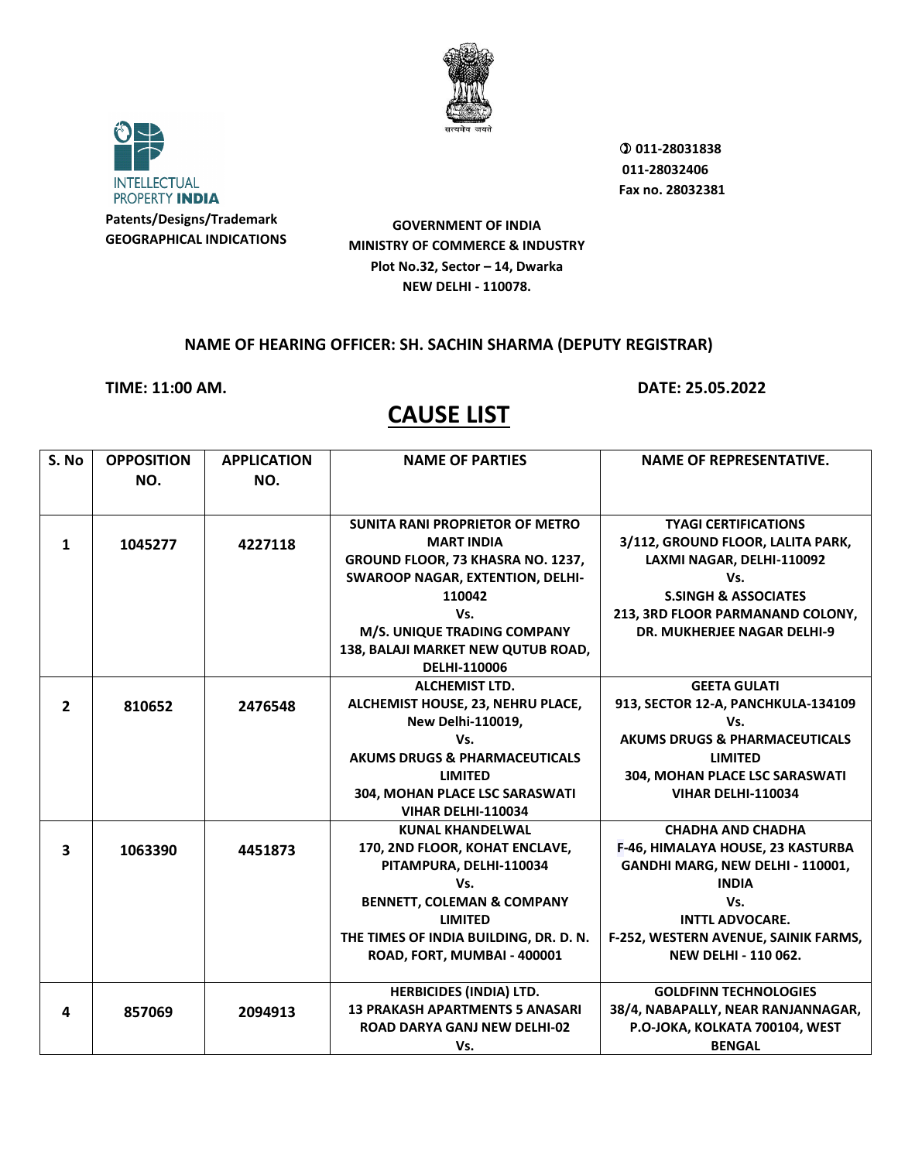



 **011-28031838 011-28032406 Fax no. 28032381**

**GOVERNMENT OF INDIA MINISTRY OF COMMERCE & INDUSTRY Plot No.32, Sector – 14, Dwarka NEW DELHI - 110078.**

### **NAME OF HEARING OFFICER: SH. SACHIN SHARMA (DEPUTY REGISTRAR)**

**TIME: 11:00 AM. DATE: 25.05.2022**

| S. No                   | <b>OPPOSITION</b> | <b>APPLICATION</b> | <b>NAME OF PARTIES</b>                   | <b>NAME OF REPRESENTATIVE.</b>           |
|-------------------------|-------------------|--------------------|------------------------------------------|------------------------------------------|
|                         | NO.               | NO.                |                                          |                                          |
|                         |                   |                    |                                          |                                          |
|                         |                   |                    | <b>SUNITA RANI PROPRIETOR OF METRO</b>   | <b>TYAGI CERTIFICATIONS</b>              |
| 1                       | 1045277           | 4227118            | <b>MART INDIA</b>                        | 3/112, GROUND FLOOR, LALITA PARK,        |
|                         |                   |                    | GROUND FLOOR, 73 KHASRA NO. 1237,        | LAXMI NAGAR, DELHI-110092                |
|                         |                   |                    | <b>SWAROOP NAGAR, EXTENTION, DELHI-</b>  | Vs.                                      |
|                         |                   |                    | 110042                                   | <b>S.SINGH &amp; ASSOCIATES</b>          |
|                         |                   |                    | Vs.                                      | 213, 3RD FLOOR PARMANAND COLONY,         |
|                         |                   |                    | M/S. UNIQUE TRADING COMPANY              | <b>DR. MUKHERJEE NAGAR DELHI-9</b>       |
|                         |                   |                    | 138, BALAJI MARKET NEW QUTUB ROAD,       |                                          |
|                         |                   |                    | DELHI-110006                             |                                          |
|                         |                   |                    | <b>ALCHEMIST LTD.</b>                    | <b>GEETA GULATI</b>                      |
| $\overline{2}$          | 810652            | 2476548            | ALCHEMIST HOUSE, 23, NEHRU PLACE,        | 913, SECTOR 12-A, PANCHKULA-134109       |
|                         |                   |                    | New Delhi-110019,                        | Vs.                                      |
|                         |                   |                    | Vs.                                      | <b>AKUMS DRUGS &amp; PHARMACEUTICALS</b> |
|                         |                   |                    | <b>AKUMS DRUGS &amp; PHARMACEUTICALS</b> | <b>LIMITED</b>                           |
|                         |                   |                    | <b>LIMITED</b>                           | 304, MOHAN PLACE LSC SARASWATI           |
|                         |                   |                    | 304, MOHAN PLACE LSC SARASWATI           | <b>VIHAR DELHI-110034</b>                |
|                         |                   |                    | VIHAR DELHI-110034                       |                                          |
|                         |                   |                    | <b>KUNAL KHANDELWAL</b>                  | <b>CHADHA AND CHADHA</b>                 |
| $\overline{\mathbf{3}}$ | 1063390           | 4451873            | 170, 2ND FLOOR, KOHAT ENCLAVE,           | F-46, HIMALAYA HOUSE, 23 KASTURBA        |
|                         |                   |                    | PITAMPURA, DELHI-110034                  | GANDHI MARG, NEW DELHI - 110001,         |
|                         |                   |                    | Vs.                                      | <b>INDIA</b>                             |
|                         |                   |                    | <b>BENNETT, COLEMAN &amp; COMPANY</b>    | Vs.                                      |
|                         |                   |                    | <b>LIMITED</b>                           | <b>INTTL ADVOCARE.</b>                   |
|                         |                   |                    | THE TIMES OF INDIA BUILDING, DR. D. N.   | F-252, WESTERN AVENUE, SAINIK FARMS,     |
|                         |                   |                    | ROAD, FORT, MUMBAI - 400001              | <b>NEW DELHI - 110 062.</b>              |
|                         |                   |                    |                                          |                                          |
|                         |                   |                    | <b>HERBICIDES (INDIA) LTD.</b>           | <b>GOLDFINN TECHNOLOGIES</b>             |
| 4                       | 857069            | 2094913            | <b>13 PRAKASH APARTMENTS 5 ANASARI</b>   | 38/4, NABAPALLY, NEAR RANJANNAGAR,       |
|                         |                   |                    | <b>ROAD DARYA GANJ NEW DELHI-02</b>      | P.O-JOKA, KOLKATA 700104, WEST           |
|                         |                   |                    | Vs.                                      | <b>BENGAL</b>                            |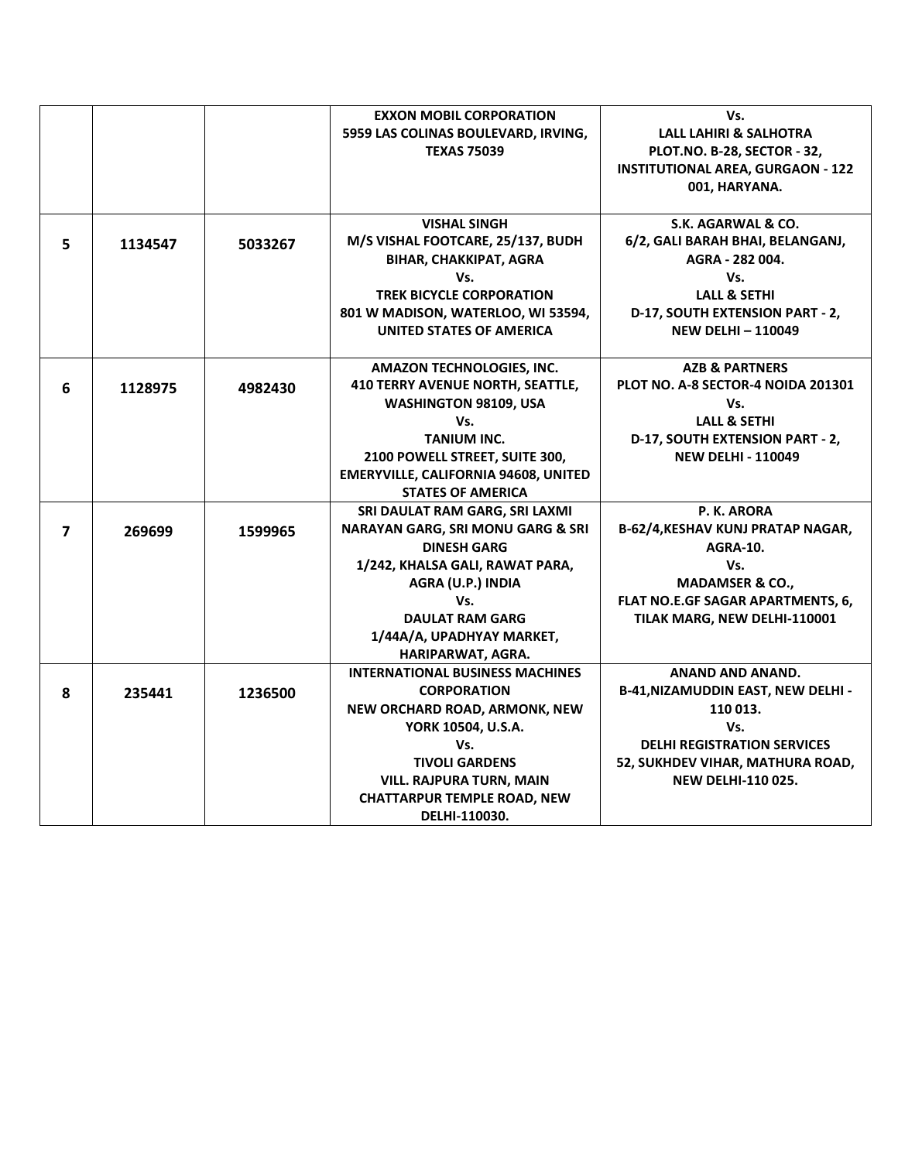|                |         |         | <b>EXXON MOBIL CORPORATION</b>              | Vs.                                       |
|----------------|---------|---------|---------------------------------------------|-------------------------------------------|
|                |         |         | 5959 LAS COLINAS BOULEVARD, IRVING,         | <b>LALL LAHIRI &amp; SALHOTRA</b>         |
|                |         |         | <b>TEXAS 75039</b>                          | PLOT.NO. B-28, SECTOR - 32,               |
|                |         |         |                                             | <b>INSTITUTIONAL AREA, GURGAON - 122</b>  |
|                |         |         |                                             | 001, HARYANA.                             |
|                |         |         |                                             |                                           |
|                |         |         | <b>VISHAL SINGH</b>                         | S.K. AGARWAL & CO.                        |
| 5              | 1134547 | 5033267 | M/S VISHAL FOOTCARE, 25/137, BUDH           | 6/2, GALI BARAH BHAI, BELANGANJ,          |
|                |         |         | BIHAR, CHAKKIPAT, AGRA                      | AGRA - 282 004.                           |
|                |         |         | Vs.                                         | Vs.                                       |
|                |         |         | <b>TREK BICYCLE CORPORATION</b>             | <b>LALL &amp; SETHI</b>                   |
|                |         |         | 801 W MADISON, WATERLOO, WI 53594,          | D-17, SOUTH EXTENSION PART - 2,           |
|                |         |         | UNITED STATES OF AMERICA                    | <b>NEW DELHI-110049</b>                   |
|                |         |         |                                             |                                           |
|                |         |         | <b>AMAZON TECHNOLOGIES, INC.</b>            | <b>AZB &amp; PARTNERS</b>                 |
| 6              | 1128975 | 4982430 | <b>410 TERRY AVENUE NORTH, SEATTLE,</b>     | PLOT NO. A-8 SECTOR-4 NOIDA 201301        |
|                |         |         | WASHINGTON 98109, USA                       | Vs.                                       |
|                |         |         | Vs.                                         | <b>LALL &amp; SETHI</b>                   |
|                |         |         | <b>TANIUM INC.</b>                          | D-17, SOUTH EXTENSION PART - 2,           |
|                |         |         | 2100 POWELL STREET, SUITE 300,              | <b>NEW DELHI - 110049</b>                 |
|                |         |         | <b>EMERYVILLE, CALIFORNIA 94608, UNITED</b> |                                           |
|                |         |         | <b>STATES OF AMERICA</b>                    |                                           |
|                |         |         | SRI DAULAT RAM GARG, SRI LAXMI              | P. K. ARORA                               |
| $\overline{ }$ | 269699  | 1599965 | NARAYAN GARG, SRI MONU GARG & SRI           | B-62/4, KESHAV KUNJ PRATAP NAGAR,         |
|                |         |         | <b>DINESH GARG</b>                          | <b>AGRA-10.</b>                           |
|                |         |         | 1/242, KHALSA GALI, RAWAT PARA,             | Vs.                                       |
|                |         |         | AGRA (U.P.) INDIA                           | <b>MADAMSER &amp; CO.,</b>                |
|                |         |         | Vs.                                         | FLAT NO.E.GF SAGAR APARTMENTS, 6,         |
|                |         |         | <b>DAULAT RAM GARG</b>                      | TILAK MARG, NEW DELHI-110001              |
|                |         |         | 1/44A/A, UPADHYAY MARKET,                   |                                           |
|                |         |         | HARIPARWAT, AGRA.                           |                                           |
|                |         |         | <b>INTERNATIONAL BUSINESS MACHINES</b>      | ANAND AND ANAND.                          |
| 8              | 235441  | 1236500 | <b>CORPORATION</b>                          | <b>B-41, NIZAMUDDIN EAST, NEW DELHI -</b> |
|                |         |         | NEW ORCHARD ROAD, ARMONK, NEW               | 110 013.                                  |
|                |         |         | YORK 10504, U.S.A.                          | Vs.                                       |
|                |         |         | Vs.                                         | <b>DELHI REGISTRATION SERVICES</b>        |
|                |         |         | <b>TIVOLI GARDENS</b>                       | 52, SUKHDEV VIHAR, MATHURA ROAD,          |
|                |         |         | <b>VILL. RAJPURA TURN, MAIN</b>             | <b>NEW DELHI-110 025.</b>                 |
|                |         |         | <b>CHATTARPUR TEMPLE ROAD, NEW</b>          |                                           |
|                |         |         | DELHI-110030.                               |                                           |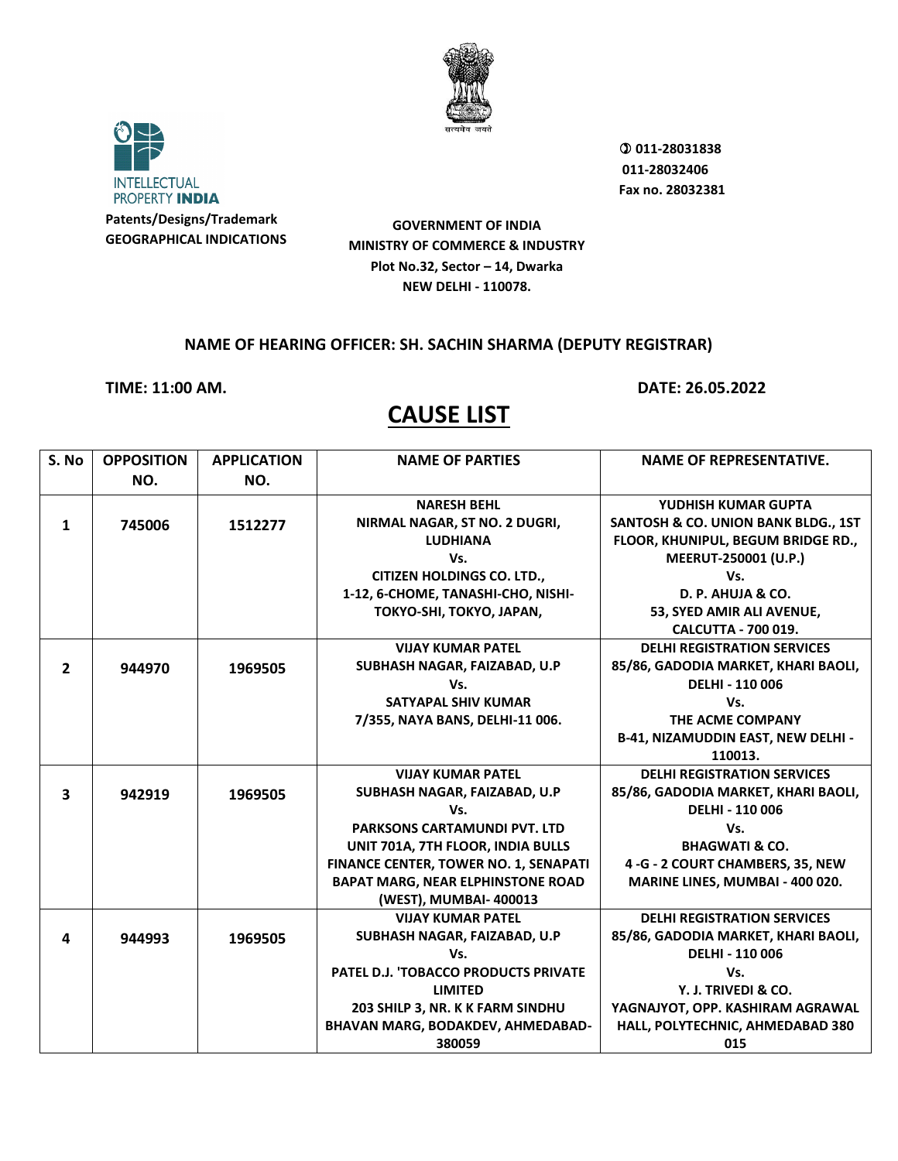



 **011-28031838 011-28032406 Fax no. 28032381**

**GOVERNMENT OF INDIA MINISTRY OF COMMERCE & INDUSTRY Plot No.32, Sector – 14, Dwarka NEW DELHI - 110078.**

### **NAME OF HEARING OFFICER: SH. SACHIN SHARMA (DEPUTY REGISTRAR)**

**TIME: 11:00 AM. DATE: 26.05.2022**

| S. No                   | <b>OPPOSITION</b> | <b>APPLICATION</b> | <b>NAME OF PARTIES</b>                   | <b>NAME OF REPRESENTATIVE.</b>                 |
|-------------------------|-------------------|--------------------|------------------------------------------|------------------------------------------------|
|                         | NO.               | NO.                |                                          |                                                |
|                         |                   |                    | <b>NARESH BEHL</b>                       | YUDHISH KUMAR GUPTA                            |
| $\mathbf{1}$            | 745006            | 1512277            | NIRMAL NAGAR, ST NO. 2 DUGRI,            | <b>SANTOSH &amp; CO. UNION BANK BLDG., 1ST</b> |
|                         |                   |                    | <b>LUDHIANA</b>                          | FLOOR, KHUNIPUL, BEGUM BRIDGE RD.,             |
|                         |                   |                    | Vs.                                      | MEERUT-250001 (U.P.)                           |
|                         |                   |                    | <b>CITIZEN HOLDINGS CO. LTD.,</b>        | Vs.                                            |
|                         |                   |                    | 1-12, 6-CHOME, TANASHI-CHO, NISHI-       | D. P. AHUJA & CO.                              |
|                         |                   |                    | TOKYO-SHI, TOKYO, JAPAN,                 | 53, SYED AMIR ALI AVENUE,                      |
|                         |                   |                    |                                          | <b>CALCUTTA - 700 019.</b>                     |
|                         |                   |                    | <b>VIJAY KUMAR PATEL</b>                 | <b>DELHI REGISTRATION SERVICES</b>             |
| $\overline{2}$          | 944970            | 1969505            | SUBHASH NAGAR, FAIZABAD, U.P             | 85/86, GADODIA MARKET, KHARI BAOLI,            |
|                         |                   |                    | Vs.                                      | DELHI - 110 006                                |
|                         |                   |                    | SATYAPAL SHIV KUMAR                      | Vs.                                            |
|                         |                   |                    | 7/355, NAYA BANS, DELHI-11 006.          | THE ACME COMPANY                               |
|                         |                   |                    |                                          | B-41, NIZAMUDDIN EAST, NEW DELHI -             |
|                         |                   |                    |                                          | 110013.                                        |
|                         |                   |                    | <b>VIJAY KUMAR PATEL</b>                 | <b>DELHI REGISTRATION SERVICES</b>             |
| $\overline{\mathbf{3}}$ | 942919            | 1969505            | SUBHASH NAGAR, FAIZABAD, U.P             | 85/86, GADODIA MARKET, KHARI BAOLI,            |
|                         |                   |                    | Vs.                                      | <b>DELHI - 110 006</b>                         |
|                         |                   |                    | <b>PARKSONS CARTAMUNDI PVT. LTD</b>      | Vs.                                            |
|                         |                   |                    | UNIT 701A, 7TH FLOOR, INDIA BULLS        | <b>BHAGWATI &amp; CO.</b>                      |
|                         |                   |                    | FINANCE CENTER, TOWER NO. 1, SENAPATI    | 4 - G - 2 COURT CHAMBERS, 35, NEW              |
|                         |                   |                    | <b>BAPAT MARG, NEAR ELPHINSTONE ROAD</b> | MARINE LINES, MUMBAI - 400 020.                |
|                         |                   |                    | (WEST), MUMBAI- 400013                   |                                                |
|                         |                   |                    | <b>VIJAY KUMAR PATEL</b>                 | <b>DELHI REGISTRATION SERVICES</b>             |
| 4                       | 944993            | 1969505            | SUBHASH NAGAR, FAIZABAD, U.P             | 85/86, GADODIA MARKET, KHARI BAOLI,            |
|                         |                   |                    | Vs.                                      | <b>DELHI - 110 006</b>                         |
|                         |                   |                    | PATEL D.J. 'TOBACCO PRODUCTS PRIVATE     | Vs.                                            |
|                         |                   |                    | <b>LIMITED</b>                           | Y. J. TRIVEDI & CO.                            |
|                         |                   |                    | 203 SHILP 3, NR. K K FARM SINDHU         | YAGNAJYOT, OPP. KASHIRAM AGRAWAL               |
|                         |                   |                    | BHAVAN MARG, BODAKDEV, AHMEDABAD-        | HALL, POLYTECHNIC, AHMEDABAD 380               |
|                         |                   |                    | 380059                                   | 015                                            |